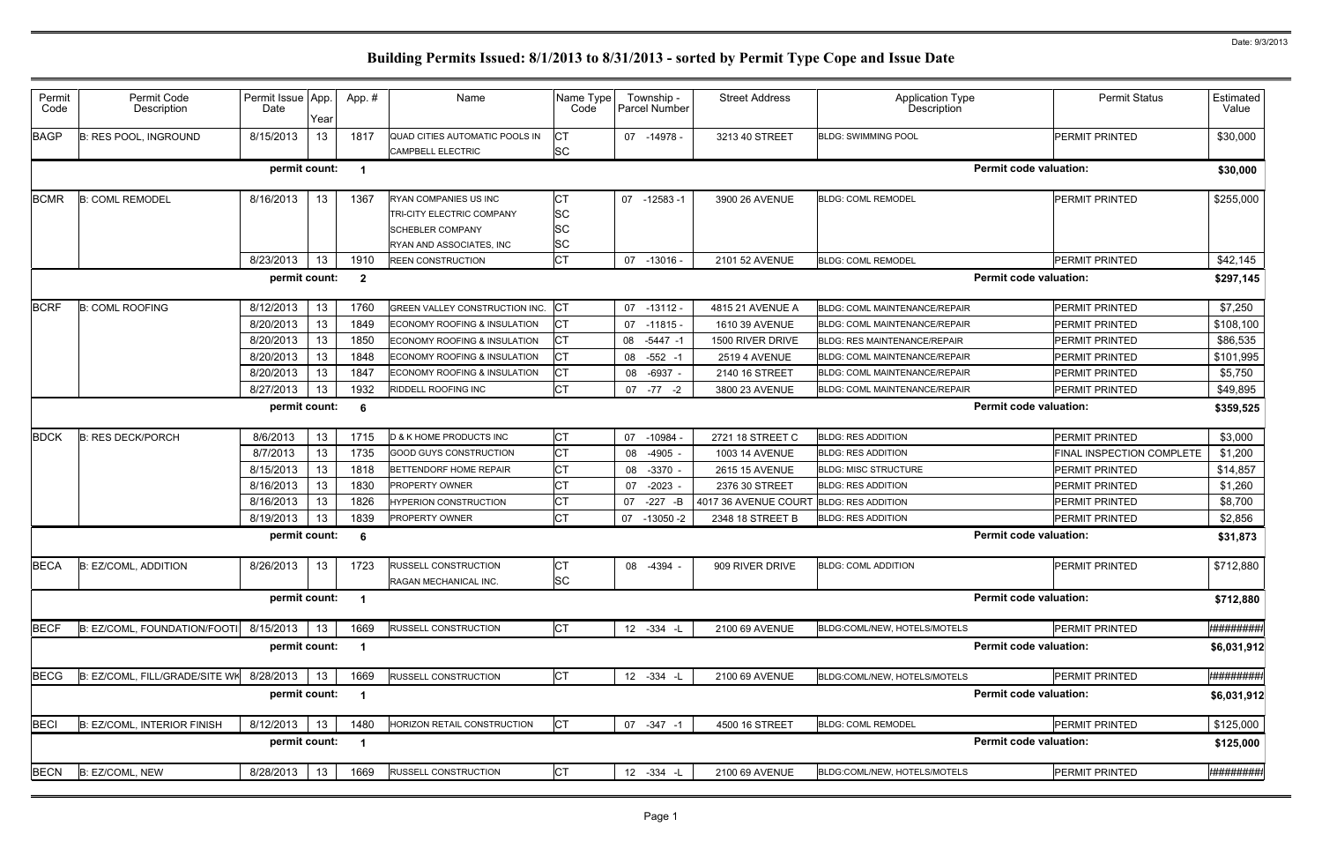| Permit      | Permit Code                    | Permit Issue App. |      | App.#                   | Name                             | Name Type | Township -       | <b>Street Address</b> | <b>Application Type</b>              | <b>Permit Status</b>             | Estimated           |
|-------------|--------------------------------|-------------------|------|-------------------------|----------------------------------|-----------|------------------|-----------------------|--------------------------------------|----------------------------------|---------------------|
| Code        | Description                    | Date              | Year |                         |                                  | Code      | Parcel Number    |                       | Description                          |                                  | Value               |
| <b>BAGP</b> | B: RES POOL, INGROUND          | 8/15/2013         | 13   | 1817                    | QUAD CITIES AUTOMATIC POOLS IN   | CT        | 07 -14978 -      | 3213 40 STREET        | <b>BLDG: SWIMMING POOL</b>           | <b>PERMIT PRINTED</b>            | \$30,000            |
|             |                                |                   |      |                         | CAMPBELL ELECTRIC                | <b>SC</b> |                  |                       |                                      |                                  |                     |
|             |                                | permit count:     |      | $\mathbf 1$             |                                  |           |                  |                       |                                      | <b>Permit code valuation:</b>    | \$30,000            |
| <b>BCMR</b> | <b>B: COML REMODEL</b>         | 8/16/2013         | 13   | 1367                    | RYAN COMPANIES US INC            | СТ        | 07 -12583 -1     | 3900 26 AVENUE        | <b>BLDG: COML REMODEL</b>            | PERMIT PRINTED                   | \$255,000           |
|             |                                |                   |      |                         | <b>TRI-CITY ELECTRIC COMPANY</b> | <b>SC</b> |                  |                       |                                      |                                  |                     |
|             |                                |                   |      |                         | <b>SCHEBLER COMPANY</b>          | <b>SC</b> |                  |                       |                                      |                                  |                     |
|             |                                |                   |      |                         | RYAN AND ASSOCIATES, INC         | <b>SC</b> |                  |                       |                                      |                                  |                     |
|             |                                | 8/23/2013         | 13   | 1910                    | <b>REEN CONSTRUCTION</b>         | СT        | 07 -13016 -      | 2101 52 AVENUE        | <b>BLDG: COML REMODEL</b>            | PERMIT PRINTED                   | \$42,145            |
|             |                                | permit count:     |      | $\overline{\mathbf{2}}$ |                                  |           |                  |                       |                                      | <b>Permit code valuation:</b>    | \$297,145           |
| <b>BCRF</b> | <b>B: COML ROOFING</b>         | 8/12/2013         | 13   | 1760                    | GREEN VALLEY CONSTRUCTION INC.   | IСТ       | 07 -13112 -      | 4815 21 AVENUE A      | <b>BLDG: COML MAINTENANCE/REPAIR</b> | <b>PERMIT PRINTED</b>            | \$7,250             |
|             |                                | 8/20/2013         | 13   | 1849                    | ECONOMY ROOFING & INSULATION     | CT        | $07 - 11815 -$   | 1610 39 AVENUE        | <b>BLDG: COML MAINTENANCE/REPAIR</b> | <b>PERMIT PRINTED</b>            | \$108,100           |
|             |                                | 8/20/2013         | 13   | 1850                    | ECONOMY ROOFING & INSULATION     | СT        | 08 -5447 -1      | 1500 RIVER DRIVE      | <b>BLDG: RES MAINTENANCE/REPAIR</b>  | PERMIT PRINTED                   | \$86,535            |
|             |                                | 8/20/2013         | 13   | 1848                    | ECONOMY ROOFING & INSULATION     | СT        | $-552 - 1$<br>08 | <b>2519 4 AVENUE</b>  | <b>BLDG: COML MAINTENANCE/REPAIR</b> | <b>PERMIT PRINTED</b>            | \$101,995           |
|             |                                | 8/20/2013         | 13   | 1847                    | ECONOMY ROOFING & INSULATION     | СT        | 08<br>$-6937 -$  | 2140 16 STREET        | <b>BLDG: COML MAINTENANCE/REPAIR</b> | PERMIT PRINTED                   | \$5,750             |
|             |                                | 8/27/2013         | 13   | 1932                    | RIDDELL ROOFING INC              | СT        | $07 - 77 - 2$    | 3800 23 AVENUE        | <b>BLDG: COML MAINTENANCE/REPAIR</b> | PERMIT PRINTED                   | \$49,895            |
|             |                                | permit count:     |      | 6                       |                                  |           |                  |                       |                                      | <b>Permit code valuation:</b>    | \$359,525           |
| <b>BDCK</b> | <b>B: RES DECK/PORCH</b>       | 8/6/2013          | 13   | 1715                    | D & K HOME PRODUCTS INC          | СT        | 07<br>-10984     | 2721 18 STREET C      | <b>BLDG: RES ADDITION</b>            | <b>PERMIT PRINTED</b>            | \$3,000             |
|             |                                | 8/7/2013          | 13   | 1735                    | <b>GOOD GUYS CONSTRUCTION</b>    | СT        | $-4905 -$<br>08  | <b>1003 14 AVENUE</b> | <b>BLDG: RES ADDITION</b>            | <b>FINAL INSPECTION COMPLETE</b> | \$1,200             |
|             |                                | 8/15/2013         | 13   | 1818                    | BETTENDORF HOME REPAIR           | СT        | 08 -3370 -       | 2615 15 AVENUE        | <b>BLDG: MISC STRUCTURE</b>          | <b>PERMIT PRINTED</b>            | \$14,857            |
|             |                                | 8/16/2013         | 13   | 1830                    | PROPERTY OWNER                   | СT        | 07<br>$-2023 -$  | 2376 30 STREET        | <b>BLDG: RES ADDITION</b>            | <b>PERMIT PRINTED</b>            | \$1,260             |
|             |                                | 8/16/2013         | 13   | 1826                    | HYPERION CONSTRUCTION            | СT        | $-227 - B$<br>07 | 4017 36 AVENUE COURT  | <b>BLDG: RES ADDITION</b>            | <b>PERMIT PRINTED</b>            | \$8,700             |
|             |                                | 8/19/2013         | 13   | 1839                    | PROPERTY OWNER                   | СT        | 07 -13050 -2     | 2348 18 STREET B      | <b>BLDG: RES ADDITION</b>            | <b>PERMIT PRINTED</b>            | \$2,856             |
|             |                                | permit count:     |      | 6                       |                                  |           |                  |                       |                                      | <b>Permit code valuation:</b>    | \$31,873            |
| <b>BECA</b> | <b>B: EZ/COML, ADDITION</b>    | 8/26/2013         | 13   | 1723                    | <b>RUSSELL CONSTRUCTION</b>      | <b>CT</b> | 08 -4394 -       | 909 RIVER DRIVE       | <b>BLDG: COML ADDITION</b>           | <b>PERMIT PRINTED</b>            | \$712,880           |
|             |                                |                   |      |                         | RAGAN MECHANICAL INC.            | <b>SC</b> |                  |                       |                                      |                                  |                     |
|             |                                | permit count:     |      | $\overline{1}$          |                                  |           |                  |                       |                                      | <b>Permit code valuation:</b>    | \$712,880           |
| <b>BECF</b> | B: EZ/COML, FOUNDATION/FOOTI   | 8/15/2013         | 13   | 1669                    | <b>RUSSELL CONSTRUCTION</b>      | <b>CT</b> | 12 -334 -L       | 2100 69 AVENUE        | BLDG:COML/NEW, HOTELS/MOTELS         | PERMIT PRINTED                   | <b>*#########</b>   |
|             |                                | permit count:     |      | -1                      |                                  |           |                  |                       |                                      | <b>Permit code valuation:</b>    | \$6,031,912         |
| <b>BECG</b> | B: EZ/COML, FILL/GRADE/SITE WK | 8/28/2013         | 13   | 1669                    | <b>RUSSELL CONSTRUCTION</b>      | <b>CT</b> | 12 -334 -L       | 2100 69 AVENUE        | BLDG:COML/NEW, HOTELS/MOTELS         | PERMIT PRINTED                   | ************        |
|             |                                | permit count:     |      | $\blacktriangleleft$    |                                  |           |                  |                       |                                      | <b>Permit code valuation:</b>    | \$6,031,912         |
| <b>BECI</b> | B: EZ/COML, INTERIOR FINISH    | 8/12/2013         | 13   | 1480                    | HORIZON RETAIL CONSTRUCTION      | IСТ       | $07 - 347 - 1$   | 4500 16 STREET        | <b>BLDG: COML REMODEL</b>            | PERMIT PRINTED                   | \$125,000           |
|             |                                | permit count:     |      | $\blacktriangleleft$    |                                  |           |                  |                       |                                      | <b>Permit code valuation:</b>    | \$125,000           |
| <b>BECN</b> | B: EZ/COML, NEW                | 8/28/2013         | 13   | 1669                    | <b>RUSSELL CONSTRUCTION</b>      | IСТ       | 12 -334 -L       | 2100 69 AVENUE        | BLDG:COML/NEW, HOTELS/MOTELS         | PERMIT PRINTED                   | <b>************</b> |
|             |                                |                   |      |                         |                                  |           |                  |                       |                                      |                                  |                     |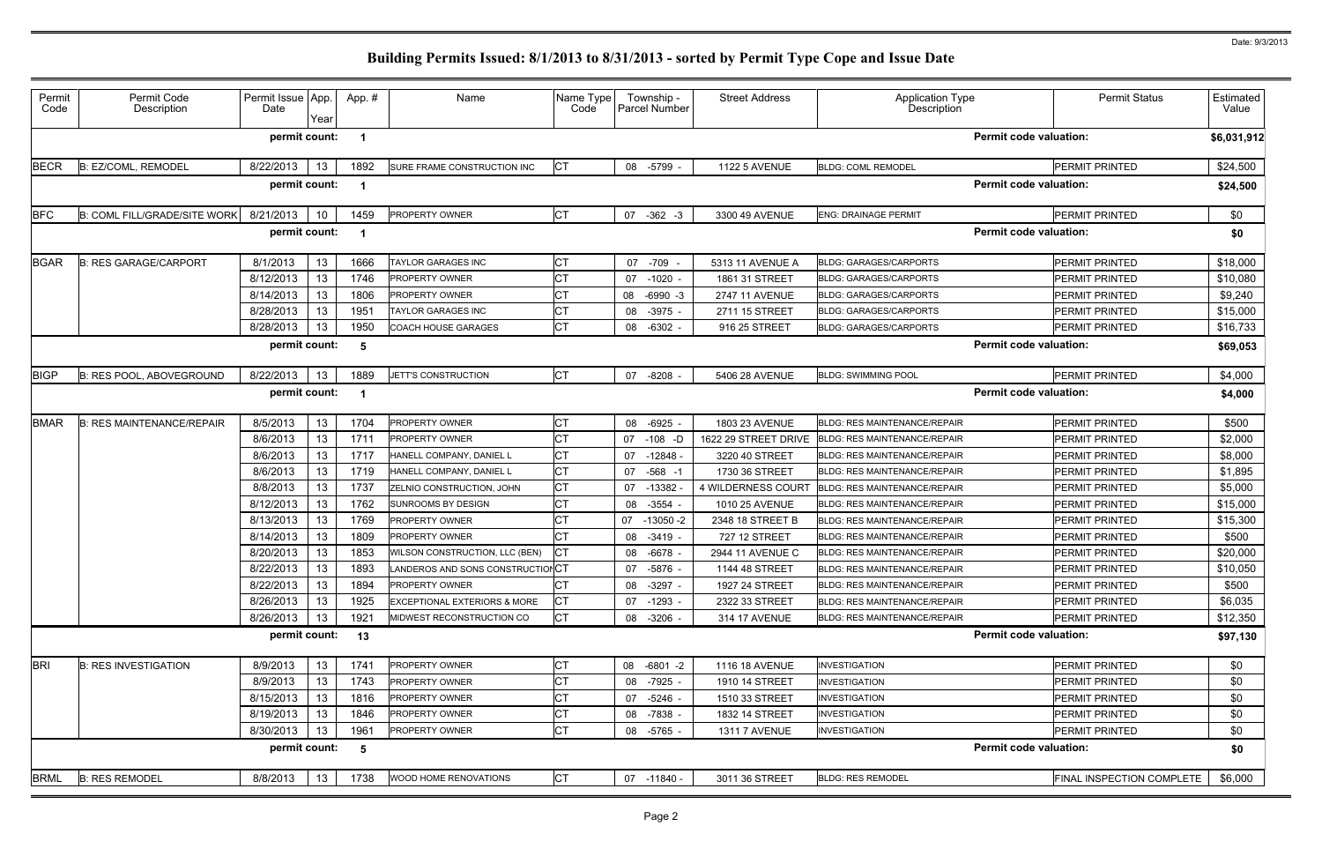| Permit<br>Code | Permit Code<br>Description          | Permit Issue App.<br>Date | Year | App.# | Name                             | Name Type<br>Code | Township -<br>Parcel Number | <b>Street Address</b> | <b>Application Type</b><br>Description | <b>Permit Status</b>          | Estimated<br>Value |
|----------------|-------------------------------------|---------------------------|------|-------|----------------------------------|-------------------|-----------------------------|-----------------------|----------------------------------------|-------------------------------|--------------------|
|                |                                     | permit count:             |      |       |                                  |                   |                             |                       |                                        | <b>Permit code valuation:</b> | \$6,031,912        |
| <b>BECR</b>    | B: EZ/COML, REMODEL                 | 8/22/2013                 | 13   | 1892  | SURE FRAME CONSTRUCTION INC      | СT                | 08 -5799 -                  | <b>1122 5 AVENUE</b>  | <b>BLDG: COML REMODEL</b>              | <b>PERMIT PRINTED</b>         | \$24,500           |
|                |                                     | permit count:             |      |       |                                  |                   |                             |                       |                                        | <b>Permit code valuation:</b> | \$24,500           |
| <b>BFC</b>     | <b>B: COML FILL/GRADE/SITE WORK</b> | 8/21/2013                 | 10   | 1459  | <b>PROPERTY OWNER</b>            | СT                | 07 -362 -3                  | 3300 49 AVENUE        | <b>ENG: DRAINAGE PERMIT</b>            | PERMIT PRINTED                | \$0                |
|                |                                     | permit count:             |      |       |                                  |                   |                             |                       |                                        | <b>Permit code valuation:</b> | \$0                |
| <b>BGAR</b>    | <b>B: RES GARAGE/CARPORT</b>        | 8/1/2013                  | 13   | 1666  | TAYLOR GARAGES INC               | СT                | 07 - 709                    | 5313 11 AVENUE A      | <b>BLDG: GARAGES/CARPORTS</b>          | <b>PERMIT PRINTED</b>         | \$18,000           |
|                |                                     | 8/12/2013                 | 13   | 1746  | <b>PROPERTY OWNER</b>            | <b>CT</b>         | 07 -1020 -                  | 1861 31 STREET        | <b>BLDG: GARAGES/CARPORTS</b>          | <b>PERMIT PRINTED</b>         | \$10,080           |
|                |                                     | 8/14/2013                 | 13   | 1806  | <b>PROPERTY OWNER</b>            | СT                | 08 -6990 -3                 | <b>2747 11 AVENUE</b> | <b>BLDG: GARAGES/CARPORTS</b>          | PERMIT PRINTED                | \$9,240            |
|                |                                     | 8/28/2013                 | 13   | 1951  | <b>TAYLOR GARAGES INC</b>        | СT                | -3975 -<br>08               | 2711 15 STREET        | <b>BLDG: GARAGES/CARPORTS</b>          | <b>PERMIT PRINTED</b>         | \$15,000           |
|                |                                     | 8/28/2013                 | 13   | 1950  | <b>COACH HOUSE GARAGES</b>       | <b>CT</b>         | $-6302 -$<br>08             | 916 25 STREET         | <b>BLDG: GARAGES/CARPORTS</b>          | <b>PERMIT PRINTED</b>         | \$16,733           |
|                |                                     | permit count:             |      | -5    |                                  |                   |                             |                       |                                        | <b>Permit code valuation:</b> | \$69,053           |
| <b>BIGP</b>    | B: RES POOL, ABOVEGROUND            | 8/22/2013                 | 13   | 1889  | JETT'S CONSTRUCTION              | <b>CT</b>         | 07 -8208                    | 5406 28 AVENUE        | <b>BLDG: SWIMMING POOL</b>             | <b>PERMIT PRINTED</b>         | \$4,000            |
|                |                                     | permit count:             |      |       |                                  |                   |                             |                       |                                        | <b>Permit code valuation:</b> | \$4,000            |
| <b>BMAR</b>    | <b>B: RES MAINTENANCE/REPAIR</b>    | 8/5/2013                  | 13   | 1704  | <b>PROPERTY OWNER</b>            | СT                | 08<br>-6925 -               | 1803 23 AVENUE        | <b>BLDG: RES MAINTENANCE/REPAIR</b>    | <b>PERMIT PRINTED</b>         | \$500              |
|                |                                     | 8/6/2013                  | 13   | 1711  | <b>PROPERTY OWNER</b>            | СT                | $-108$ -D<br>07             | 1622 29 STREET DRIVE  | <b>BLDG: RES MAINTENANCE/REPAIR</b>    | <b>PERMIT PRINTED</b>         | \$2,000            |
|                |                                     | 8/6/2013                  | 13   | 1717  | HANELL COMPANY, DANIEL L         | СT                | $-12848$<br>07              | 3220 40 STREET        | <b>BLDG: RES MAINTENANCE/REPAIR</b>    | <b>PERMIT PRINTED</b>         | \$8,000            |
|                |                                     | 8/6/2013                  | 13   | 1719  | HANELL COMPANY, DANIEL L         | <b>CT</b>         | $-568 - 1$<br>07            | 1730 36 STREET        | <b>BLDG: RES MAINTENANCE/REPAIR</b>    | <b>PERMIT PRINTED</b>         | \$1,895            |
|                |                                     | 8/8/2013                  | 13   | 1737  | ZELNIO CONSTRUCTION, JOHN        | СT                | 07 -13382                   | 4 WILDERNESS COURT    | <b>BLDG: RES MAINTENANCE/REPAIR</b>    | <b>PERMIT PRINTED</b>         | \$5,000            |
|                |                                     | 8/12/2013                 | 13   | 1762  | <b>SUNROOMS BY DESIGN</b>        | СT                | 08<br>-3554                 | 1010 25 AVENUE        | <b>BLDG: RES MAINTENANCE/REPAIR</b>    | <b>PERMIT PRINTED</b>         | \$15,000           |
|                |                                     | 8/13/2013                 | 13   | 1769  | <b>PROPERTY OWNER</b>            | СT                | 07 -13050 -2                | 2348 18 STREET B      | <b>BLDG: RES MAINTENANCE/REPAIR</b>    | <b>PERMIT PRINTED</b>         | \$15,300           |
|                |                                     | 8/14/2013                 | 13   | 1809  | PROPERTY OWNER                   | <b>CT</b>         | 08<br>-3419 -               | 727 12 STREET         | <b>BLDG: RES MAINTENANCE/REPAIR</b>    | <b>PERMIT PRINTED</b>         | \$500              |
|                |                                     | 8/20/2013                 | 13   | 1853  | WILSON CONSTRUCTION, LLC (BEN)   | СT                | 08<br>-6678                 | 2944 11 AVENUE C      | <b>BLDG: RES MAINTENANCE/REPAIR</b>    | <b>PERMIT PRINTED</b>         | \$20,000           |
|                |                                     | 8/22/2013                 | 13   | 1893  | LANDEROS AND SONS CONSTRUCTIONCT |                   | 07 -5876 -                  | 1144 48 STREET        | BLDG: RES MAINTENANCE/REPAIR           | PERMIT PRINTED                | \$10,050           |
|                |                                     | 8/22/2013                 | 13   | 1894  | <b>PROPERTY OWNER</b>            | СT                | 08 -3297 -                  | 1927 24 STREET        | <b>BLDG: RES MAINTENANCE/REPAIR</b>    | <b>PERMIT PRINTED</b>         | \$500              |
|                |                                     | 8/26/2013                 | 13   | 1925  | EXCEPTIONAL EXTERIORS & MORE     | СT                | 07 -1293 -                  | 2322 33 STREET        | <b>BLDG: RES MAINTENANCE/REPAIR</b>    | PERMIT PRINTED                | \$6,035            |
|                |                                     | 8/26/2013                 | -13  | 1921  | MIDWEST RECONSTRUCTION CO        | СT                | 08 -3206 -                  | 314 17 AVENUE         | BLDG: RES MAINTENANCE/REPAIR           | PERMIT PRINTED                | \$12,350           |
|                |                                     | permit count:             |      | 13    |                                  |                   |                             |                       |                                        | <b>Permit code valuation:</b> | \$97,130           |
| <b>BRI</b>     | <b>B: RES INVESTIGATION</b>         | 8/9/2013                  | 13   | 1741  | <b>PROPERTY OWNER</b>            | СT                | 08 -6801 -2                 | 1116 18 AVENUE        | <b>INVESTIGATION</b>                   | <b>PERMIT PRINTED</b>         | \$0                |
|                |                                     | 8/9/2013                  | 13   | 1743  | PROPERTY OWNER                   | СT                | 08 -7925 -                  | 1910 14 STREET        | <b>INVESTIGATION</b>                   | <b>PERMIT PRINTED</b>         | \$0                |
|                |                                     | 8/15/2013                 | 13   | 1816  | <b>PROPERTY OWNER</b>            | СT                | 07 -5246 -                  | 1510 33 STREET        | <b>INVESTIGATION</b>                   | PERMIT PRINTED                | \$0                |
|                |                                     | 8/19/2013                 | 13   | 1846  | <b>PROPERTY OWNER</b>            | СT                | 08 -7838 -                  | 1832 14 STREET        | <b>INVESTIGATION</b>                   | <b>PERMIT PRINTED</b>         | \$0                |
|                |                                     | 8/30/2013                 | 13   | 1961  | <b>PROPERTY OWNER</b>            | СT                | 08<br>-5765 -               | <b>1311 7 AVENUE</b>  | <b>INVESTIGATION</b>                   | PERMIT PRINTED                | \$0                |
|                |                                     | permit count:             |      | - 5   |                                  |                   |                             |                       |                                        | <b>Permit code valuation:</b> | \$0                |
| <b>BRML</b>    | <b>B: RES REMODEL</b>               | 8/8/2013                  | 13   | 1738  | WOOD HOME RENOVATIONS            | СT                | 07 -11840 -                 | 3011 36 STREET        | <b>BLDG: RES REMODEL</b>               | FINAL INSPECTION COMPLETE     | \$6,000            |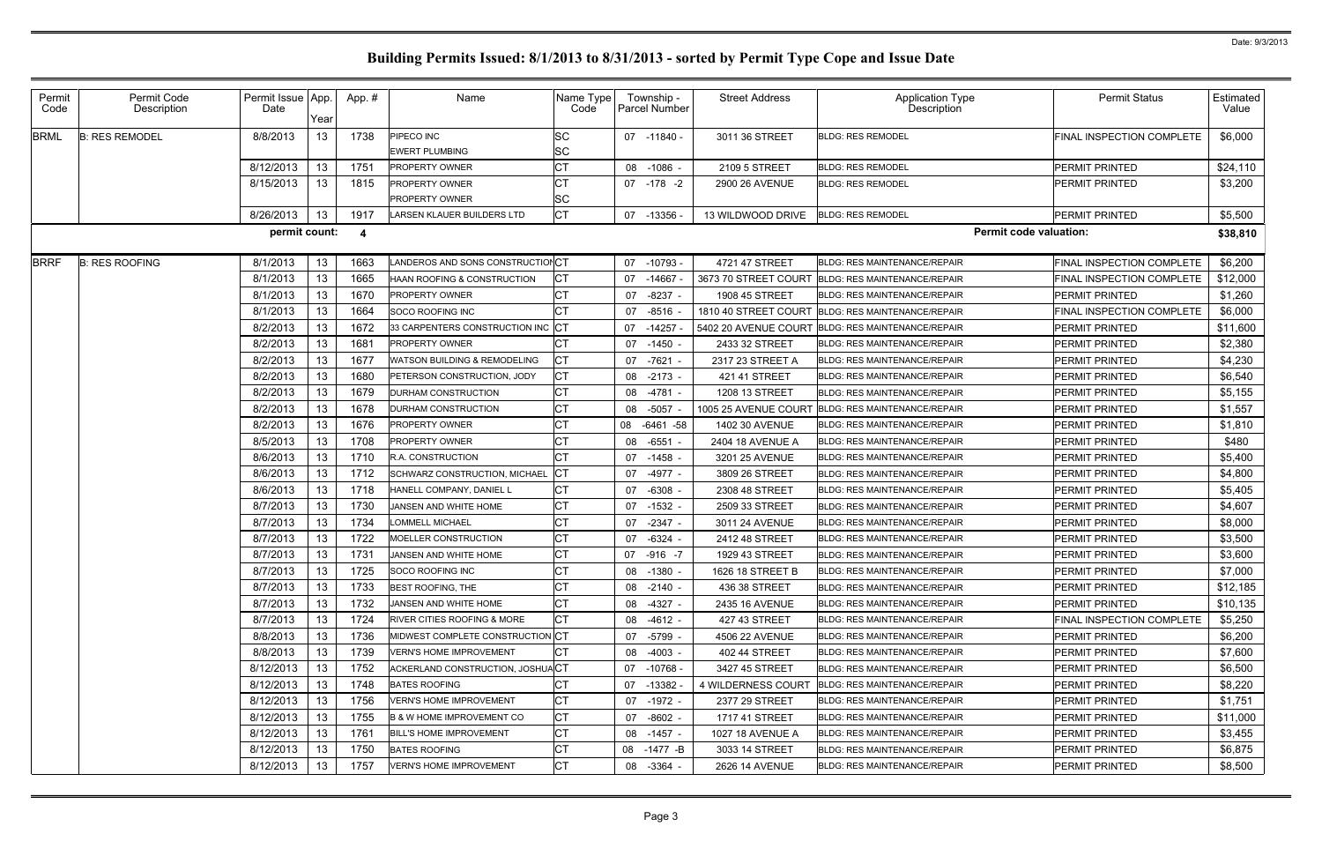| Permit<br>Code | Permit Code<br>Description | Permit Issue App.<br>Date | Year | App.#                   | Name                                    | Name Type<br>Code | Township -<br><b>Parcel Number</b> | <b>Street Address</b> | Application Type<br>Description                   | <b>Permit Status</b>             | Estimated<br>Value |
|----------------|----------------------------|---------------------------|------|-------------------------|-----------------------------------------|-------------------|------------------------------------|-----------------------|---------------------------------------------------|----------------------------------|--------------------|
| <b>BRML</b>    | <b>B: RES REMODEL</b>      | 8/8/2013                  | 13   | 1738                    | PIPECO INC<br><b>EWERT PLUMBING</b>     | SС<br>SC          | 07 -11840 -                        | 3011 36 STREET        | <b>BLDG: RES REMODEL</b>                          | FINAL INSPECTION COMPLETE        | \$6,000            |
|                |                            | 8/12/2013                 | 13   | 1751                    | PROPERTY OWNER                          | <b>CT</b>         | 08 -1086 -                         | 2109 5 STREET         | <b>BLDG: RES REMODEL</b>                          | <b>PERMIT PRINTED</b>            | \$24,110           |
|                |                            | 8/15/2013                 | 13   | 1815                    | PROPERTY OWNER                          | СT                | 07 -178 -2                         | 2900 26 AVENUE        | <b>BLDG: RES REMODEL</b>                          | <b>PERMIT PRINTED</b>            | \$3,200            |
|                |                            |                           |      |                         | PROPERTY OWNER                          | SC                |                                    |                       |                                                   |                                  |                    |
|                |                            | 8/26/2013                 | 13   | 1917                    | LARSEN KLAUER BUILDERS LTD              | <b>CT</b>         | 07 -13356                          | 13 WILDWOOD DRIVE     | <b>BLDG: RES REMODEL</b>                          | <b>PERMIT PRINTED</b>            | \$5,500            |
|                |                            | permit count:             |      | $\overline{\mathbf{4}}$ |                                         |                   |                                    |                       | <b>Permit code valuation:</b>                     |                                  | \$38,810           |
| <b>BRRF</b>    | <b>B: RES ROOFING</b>      | 8/1/2013                  | 13   | 1663                    | ANDEROS AND SONS CONSTRUCTIONCT         |                   | 07 -10793 -                        | 4721 47 STREET        | <b>BLDG: RES MAINTENANCE/REPAIR</b>               | FINAL INSPECTION COMPLETE        | \$6,200            |
|                |                            | 8/1/2013                  | 13   | 1665                    | HAAN ROOFING & CONSTRUCTION             | СT                | -14667<br>07                       |                       | 3673 70 STREET COURT BLDG: RES MAINTENANCE/REPAIR | <b>FINAL INSPECTION COMPLETE</b> | \$12,000           |
|                |                            | 8/1/2013                  | 13   | 1670                    | PROPERTY OWNER                          | СT                | $-8237 -$<br>07                    | 1908 45 STREET        | <b>BLDG: RES MAINTENANCE/REPAIR</b>               | <b>PERMIT PRINTED</b>            | \$1,260            |
|                |                            | 8/1/2013                  | 13   | 1664                    | SOCO ROOFING INC                        | СT                | $-8516$<br>07                      |                       | 1810 40 STREET COURT BLDG: RES MAINTENANCE/REPAIR | FINAL INSPECTION COMPLETE        | \$6,000            |
|                |                            | 8/2/2013                  | 13   | 1672                    | 33 CARPENTERS CONSTRUCTION INC CT       |                   | 07 -14257                          | 5402 20 AVENUE COURT  | <b>BLDG: RES MAINTENANCE/REPAIR</b>               | <b>PERMIT PRINTED</b>            | \$11,600           |
|                |                            | 8/2/2013                  | 13   | 1681                    | PROPERTY OWNER                          | СT                | 07<br>-1450                        | 2433 32 STREET        | <b>BLDG: RES MAINTENANCE/REPAIR</b>               | <b>PERMIT PRINTED</b>            | \$2,380            |
|                |                            | 8/2/2013                  | 13   | 1677                    | <b>WATSON BUILDING &amp; REMODELING</b> | СT                | 07 -7621                           | 2317 23 STREET A      | <b>BLDG: RES MAINTENANCE/REPAIR</b>               | <b>PERMIT PRINTED</b>            | \$4,230            |
|                |                            | 8/2/2013                  | 13   | 1680                    | PETERSON CONSTRUCTION, JODY             | СT                | 08 -2173 -                         | 421 41 STREET         | <b>BLDG: RES MAINTENANCE/REPAIR</b>               | <b>PERMIT PRINTED</b>            | \$6,540            |
|                |                            | 8/2/2013                  | 13   | 1679                    | DURHAM CONSTRUCTION                     | СT                | -4781<br>08                        | 1208 13 STREET        | <b>BLDG: RES MAINTENANCE/REPAIR</b>               | <b>PERMIT PRINTED</b>            | \$5,155            |
|                |                            | 8/2/2013                  | 13   | 1678                    | DURHAM CONSTRUCTION                     | СT                | 08 -5057                           | 1005 25 AVENUE COURT  | <b>BLDG: RES MAINTENANCE/REPAIR</b>               | <b>PERMIT PRINTED</b>            | \$1,557            |
|                |                            | 8/2/2013                  | 13   | 1676                    | PROPERTY OWNER                          | СT                | 08 -6461 -58                       | 1402 30 AVENUE        | <b>BLDG: RES MAINTENANCE/REPAIR</b>               | <b>PERMIT PRINTED</b>            | \$1,810            |
|                |                            | 8/5/2013                  | 13   | 1708                    | PROPERTY OWNER                          | СT                | -6551<br>08                        | 2404 18 AVENUE A      | <b>BLDG: RES MAINTENANCE/REPAIR</b>               | <b>PERMIT PRINTED</b>            | \$480              |
|                |                            | 8/6/2013                  | 13   | 1710                    | R.A. CONSTRUCTION                       | СT                | 07 -1458 -                         | 3201 25 AVENUE        | <b>BLDG: RES MAINTENANCE/REPAIR</b>               | <b>PERMIT PRINTED</b>            | \$5,400            |
|                |                            | 8/6/2013                  | 13   | 1712                    | SCHWARZ CONSTRUCTION, MICHAEL           | СT                | -4977 -<br>07                      | 3809 26 STREET        | <b>BLDG: RES MAINTENANCE/REPAIR</b>               | <b>PERMIT PRINTED</b>            | \$4,800            |
|                |                            | 8/6/2013                  | 13   | 1718                    | HANELL COMPANY, DANIEL L                | СT                | $-6308 -$<br>07                    | 2308 48 STREET        | <b>BLDG: RES MAINTENANCE/REPAIR</b>               | <b>PERMIT PRINTED</b>            | \$5,405            |
|                |                            | 8/7/2013                  | 13   | 1730                    | JANSEN AND WHITE HOME                   | СT                | -1532 -<br>07                      | 2509 33 STREET        | <b>BLDG: RES MAINTENANCE/REPAIR</b>               | <b>PERMIT PRINTED</b>            | \$4,607            |
|                |                            | 8/7/2013                  | 13   | 1734                    | LOMMELL MICHAEL                         | СT                | 07 -2347 -                         | 3011 24 AVENUE        | <b>BLDG: RES MAINTENANCE/REPAIR</b>               | <b>PERMIT PRINTED</b>            | \$8,000            |
|                |                            | 8/7/2013                  | 13   | 1722                    | MOELLER CONSTRUCTION                    | СT                | $-6324 -$<br>07                    | 2412 48 STREET        | <b>BLDG: RES MAINTENANCE/REPAIR</b>               | <b>PERMIT PRINTED</b>            | \$3,500            |
|                |                            | 8/7/2013                  | 13   | 1731                    | <b>JANSEN AND WHITE HOME</b>            | СT                | 07 -916 -7                         | 1929 43 STREET        | <b>BLDG: RES MAINTENANCE/REPAIR</b>               | <b>PERMIT PRINTED</b>            | \$3,600            |
|                |                            | 8/7/2013                  | 13   | 1725                    | SOCO ROOFING INC                        | <b>CT</b>         | 08 -1380 -                         | 1626 18 STREET B      | BLDG: RES MAINTENANCE/REPAIR                      | PERMIT PRINTED                   | \$7,000            |
|                |                            | 8/7/2013                  | 13   | 1733                    | <b>BEST ROOFING, THE</b>                | СT                | 08 -2140 -                         | 436 38 STREET         | <b>BLDG: RES MAINTENANCE/REPAIR</b>               | <b>PERMIT PRINTED</b>            | \$12,185           |
|                |                            | 8/7/2013                  | 13   | 1732                    | JANSEN AND WHITE HOME                   | СT                | 08 -4327 -                         | 2435 16 AVENUE        | <b>BLDG: RES MAINTENANCE/REPAIR</b>               | <b>PERMIT PRINTED</b>            | \$10,135           |
|                |                            | 8/7/2013                  | -13  | 1724                    | <b>RIVER CITIES ROOFING &amp; MORE</b>  | <b>CT</b>         | 08<br>-4612 -                      | 427 43 STREET         | <b>BLDG: RES MAINTENANCE/REPAIR</b>               | FINAL INSPECTION COMPLETE        | \$5,250            |
|                |                            | 8/8/2013                  | 13   | 1736                    | MIDWEST COMPLETE CONSTRUCTION CT        |                   | 07 -5799 -                         | 4506 22 AVENUE        | <b>BLDG: RES MAINTENANCE/REPAIR</b>               | <b>PERMIT PRINTED</b>            | \$6,200            |
|                |                            | 8/8/2013                  | 13   | 1739                    | <b>VERN'S HOME IMPROVEMENT</b>          | CT.               | 08 -4003 -                         | 402 44 STREET         | <b>BLDG: RES MAINTENANCE/REPAIR</b>               | <b>IPERMIT PRINTED</b>           | \$7,600            |
|                |                            | 8/12/2013                 | 13   | 1752                    | ACKERLAND CONSTRUCTION, JOSHUACT        |                   | 07 -10768 -                        | 3427 45 STREET        | <b>BLDG: RES MAINTENANCE/REPAIR</b>               | <b>PERMIT PRINTED</b>            | \$6,500            |
|                |                            | 8/12/2013                 | -13  | 1748                    | <b>BATES ROOFING</b>                    | СT                | 07 -13382                          | 4 WILDERNESS COURT    | <b>BLDG: RES MAINTENANCE/REPAIR</b>               | <b>PERMIT PRINTED</b>            | \$8,220            |
|                |                            | 8/12/2013                 | 13   | 1756                    | <b>VERN'S HOME IMPROVEMENT</b>          | <b>CT</b>         | 07 -1972 -                         | 2377 29 STREET        | <b>BLDG: RES MAINTENANCE/REPAIR</b>               | <b>PERMIT PRINTED</b>            | \$1,751            |
|                |                            | 8/12/2013                 | -13  | 1755                    | <b>B &amp; W HOME IMPROVEMENT CO</b>    | СT                | 07 -8602 -                         | 1717 41 STREET        | <b>BLDG: RES MAINTENANCE/REPAIR</b>               | <b>PERMIT PRINTED</b>            | \$11,000           |
|                |                            | 8/12/2013                 | 13   | 1761                    | <b>BILL'S HOME IMPROVEMENT</b>          | CT                | 08 -1457 -                         | 1027 18 AVENUE A      | <b>BLDG: RES MAINTENANCE/REPAIR</b>               | <b>PERMIT PRINTED</b>            | \$3,455            |
|                |                            | 8/12/2013                 | 13   | 1750                    | <b>BATES ROOFING</b>                    | <b>CT</b>         | 08 -1477 -B                        | 3033 14 STREET        | <b>BLDG: RES MAINTENANCE/REPAIR</b>               | <b>PERMIT PRINTED</b>            | \$6,875            |
|                |                            | 8/12/2013                 | 13   | 1757                    | <b>VERN'S HOME IMPROVEMENT</b>          | СT                | 08 -3364 -                         | 2626 14 AVENUE        | <b>BLDG: RES MAINTENANCE/REPAIR</b>               | <b>PERMIT PRINTED</b>            | \$8,500            |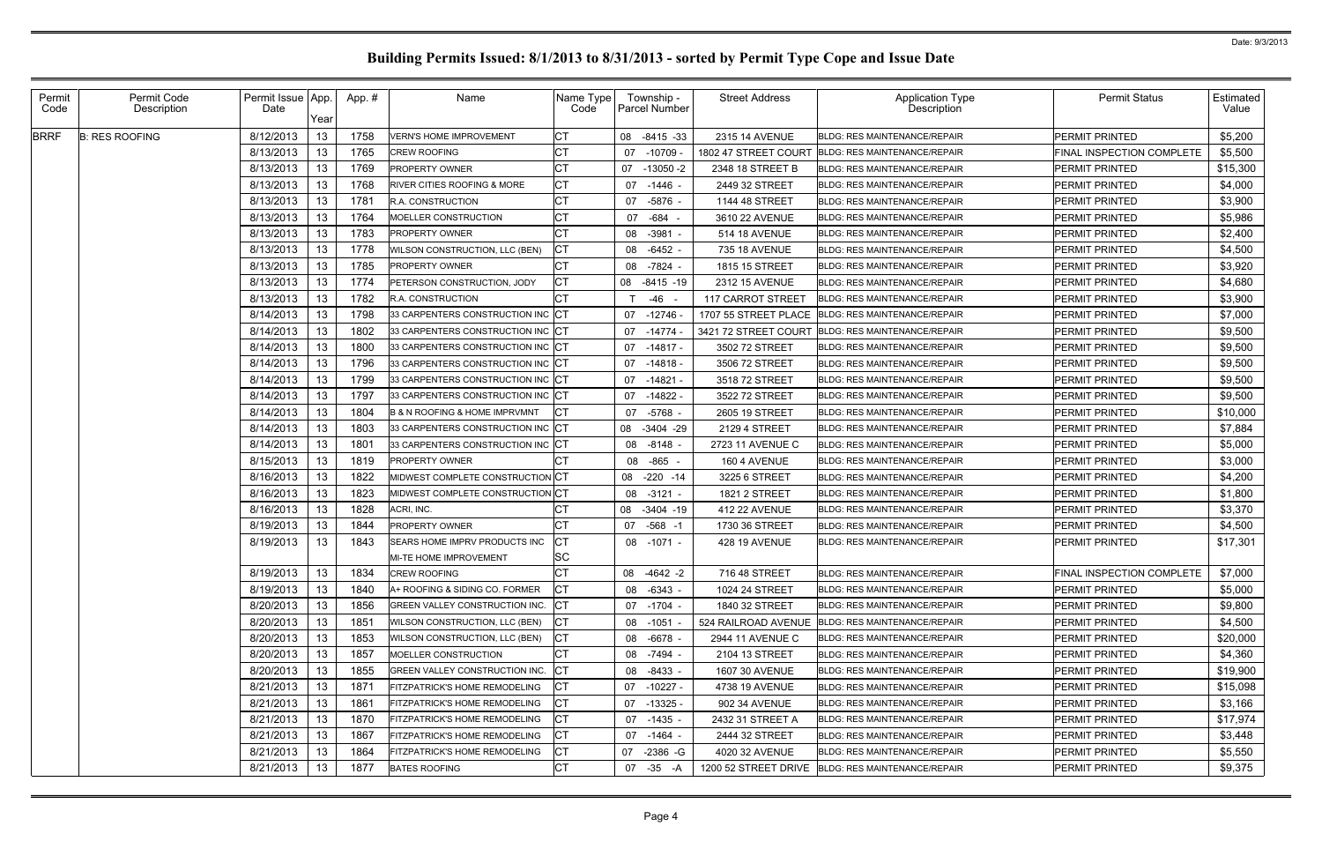| Permit<br>Code | Permit Code<br>Description | Permit Issue App.<br>Date | Year | App. # | Name                                         | Name Type<br>Code | Township -<br><b>Parcel Number</b> | <b>Street Address</b>    | <b>Application Type</b><br>Description            | <b>Permit Status</b>             | Estimated<br>Value |
|----------------|----------------------------|---------------------------|------|--------|----------------------------------------------|-------------------|------------------------------------|--------------------------|---------------------------------------------------|----------------------------------|--------------------|
| <b>BRRF</b>    | <b>B: RES ROOFING</b>      | 8/12/2013                 | 13   | 1758   | <b>VERN'S HOME IMPROVEMENT</b>               | <b>CT</b>         | 08 -8415 -33                       | 2315 14 AVENUE           | <b>BLDG: RES MAINTENANCE/REPAIR</b>               | <b>PERMIT PRINTED</b>            | \$5,200            |
|                |                            | 8/13/2013                 | 13   | 1765   | <b>CREW ROOFING</b>                          | СT                | $-10709$<br>07                     | 1802 47 STREET COURT     | <b>BLDG: RES MAINTENANCE/REPAIR</b>               | <b>FINAL INSPECTION COMPLETE</b> | \$5,500            |
|                |                            | 8/13/2013                 | 13   | 1769   | PROPERTY OWNER                               | СT                | $-13050 - 2$<br>07                 | 2348 18 STREET B         | <b>BLDG: RES MAINTENANCE/REPAIR</b>               | <b>PERMIT PRINTED</b>            | \$15,300           |
|                |                            | 8/13/2013                 | 13   | 1768   | <b>RIVER CITIES ROOFING &amp; MORE</b>       | <b>CT</b>         | 07 -1446 -                         | 2449 32 STREET           | <b>BLDG: RES MAINTENANCE/REPAIR</b>               | <b>PERMIT PRINTED</b>            | \$4,000            |
|                |                            | 8/13/2013                 | 13   | 1781   | <b>R.A. CONSTRUCTION</b>                     | СT                | -5876 -<br>07                      | 1144 48 STREET           | <b>BLDG: RES MAINTENANCE/REPAIR</b>               | <b>PERMIT PRINTED</b>            | \$3,900            |
|                |                            | 8/13/2013                 | 13   | 1764   | MOELLER CONSTRUCTION                         | СT                | -684<br>07                         | 3610 22 AVENUE           | <b>BLDG: RES MAINTENANCE/REPAIR</b>               | <b>PERMIT PRINTED</b>            | \$5,986            |
|                |                            | 8/13/2013                 | 13   | 1783   | PROPERTY OWNER                               | СT                | $-3981$<br>08                      | 514 18 AVENUE            | <b>BLDG: RES MAINTENANCE/REPAIR</b>               | <b>PERMIT PRINTED</b>            | \$2,400            |
|                |                            | 8/13/2013                 | 13   | 1778   | WILSON CONSTRUCTION, LLC (BEN)               | СT                | $-6452$ -<br>08                    | 735 18 AVENUE            | <b>BLDG: RES MAINTENANCE/REPAIR</b>               | <b>PERMIT PRINTED</b>            | \$4,500            |
|                |                            | 8/13/2013                 | 13   | 1785   | PROPERTY OWNER                               | СT                | -7824 -<br>08                      | 1815 15 STREET           | <b>BLDG: RES MAINTENANCE/REPAIR</b>               | <b>PERMIT PRINTED</b>            | \$3,920            |
|                |                            | 8/13/2013                 | 13   | 1774   | PETERSON CONSTRUCTION, JODY                  | СT                | 08 -8415 -19                       | 2312 15 AVENUE           | <b>BLDG: RES MAINTENANCE/REPAIR</b>               | <b>PERMIT PRINTED</b>            | \$4,680            |
|                |                            | 8/13/2013                 | 13   | 1782   | R.A. CONSTRUCTION                            | СT                | -46                                | <b>117 CARROT STREET</b> | <b>BLDG: RES MAINTENANCE/REPAIR</b>               | <b>PERMIT PRINTED</b>            | \$3,900            |
|                |                            | 8/14/2013                 | 13   | 1798   | 33 CARPENTERS CONSTRUCTION INC               | <b>CT</b>         | $-12746$<br>07                     | 1707 55 STREET PLACE     | <b>BLDG: RES MAINTENANCE/REPAIR</b>               | <b>PERMIT PRINTED</b>            | \$7,000            |
|                |                            | 8/14/2013                 | 13   | 1802   | 33 CARPENTERS CONSTRUCTION INC CT            |                   | 07 -14774                          | 3421 72 STREET COURT     | <b>BLDG: RES MAINTENANCE/REPAIR</b>               | <b>PERMIT PRINTED</b>            | \$9,500            |
|                |                            | 8/14/2013                 | 13   | 1800   | 33 CARPENTERS CONSTRUCTION INC               | CТ                | -14817 -<br>07                     | 3502 72 STREET           | <b>BLDG: RES MAINTENANCE/REPAIR</b>               | <b>PERMIT PRINTED</b>            | \$9,500            |
|                |                            | 8/14/2013                 | 13   | 1796   | 33 CARPENTERS CONSTRUCTION INC CT            |                   | 07 -14818 -                        | 3506 72 STREET           | <b>BLDG: RES MAINTENANCE/REPAIR</b>               | <b>PERMIT PRINTED</b>            | \$9,500            |
|                |                            | 8/14/2013                 | 13   | 1799   | 33 CARPENTERS CONSTRUCTION INC               | <b>CT</b>         | 07 -14821                          | 3518 72 STREET           | <b>BLDG: RES MAINTENANCE/REPAIR</b>               | <b>PERMIT PRINTED</b>            | \$9,500            |
|                |                            | 8/14/2013                 | 13   | 1797   | 33 CARPENTERS CONSTRUCTION INC               | IСT               | $-14822$<br>07                     | 3522 72 STREET           | <b>BLDG: RES MAINTENANCE/REPAIR</b>               | <b>PERMIT PRINTED</b>            | \$9,500            |
|                |                            | 8/14/2013                 | 13   | 1804   | <b>B &amp; N ROOFING &amp; HOME IMPRVMNT</b> | СT                | 07<br>-5768                        | 2605 19 STREET           | <b>BLDG: RES MAINTENANCE/REPAIR</b>               | <b>PERMIT PRINTED</b>            | \$10,000           |
|                |                            | 8/14/2013                 | 13   | 1803   | 33 CARPENTERS CONSTRUCTION INC CT            |                   | 08 -3404 -29                       | 2129 4 STREET            | <b>BLDG: RES MAINTENANCE/REPAIR</b>               | <b>PERMIT PRINTED</b>            | \$7,884            |
|                |                            | 8/14/2013                 | 13   | 1801   | 33 CARPENTERS CONSTRUCTION INC               | <b>CT</b>         | $-8148 -$<br>08                    | 2723 11 AVENUE C         | <b>BLDG: RES MAINTENANCE/REPAIR</b>               | <b>PERMIT PRINTED</b>            | \$5,000            |
|                |                            | 8/15/2013                 | 13   | 1819   | PROPERTY OWNER                               |                   | -865<br>08                         | 160 4 AVENUE             | <b>BLDG: RES MAINTENANCE/REPAIR</b>               | <b>PERMIT PRINTED</b>            | \$3,000            |
|                |                            | 8/16/2013                 | 13   | 1822   | MIDWEST COMPLETE CONSTRUCTION CT             |                   | $-220 - 14$<br>08                  | 3225 6 STREET            | <b>BLDG: RES MAINTENANCE/REPAIR</b>               | <b>PERMIT PRINTED</b>            | \$4,200            |
|                |                            | 8/16/2013                 | 13   | 1823   | MIDWEST COMPLETE CONSTRUCTION CT             |                   | $-3121 -$<br>08                    | <b>1821 2 STREET</b>     | <b>BLDG: RES MAINTENANCE/REPAIR</b>               | <b>PERMIT PRINTED</b>            | \$1,800            |
|                |                            | 8/16/2013                 | 13   | 1828   | ACRI, INC.                                   | СT                | 08 -3404 -19                       | <b>412 22 AVENUE</b>     | <b>BLDG: RES MAINTENANCE/REPAIR</b>               | <b>PERMIT PRINTED</b>            | \$3,370            |
|                |                            | 8/19/2013                 | 13   | 1844   | PROPERTY OWNER                               | СT                | 07 -568 -1                         | 1730 36 STREET           | <b>BLDG: RES MAINTENANCE/REPAIR</b>               | <b>PERMIT PRINTED</b>            | \$4,500            |
|                |                            | 8/19/2013                 | 13   | 1843   | SEARS HOME IMPRV PRODUCTS INC                | СT                | 08 -1071 -                         | <b>428 19 AVENUE</b>     | <b>BLDG: RES MAINTENANCE/REPAIR</b>               | <b>PERMIT PRINTED</b>            | \$17,301           |
|                |                            |                           |      |        | <b>MI-TE HOME IMPROVEMENT</b>                | SC                |                                    |                          |                                                   |                                  |                    |
|                |                            | 8/19/2013                 | - 13 | 1834   | <b>CREW ROOFING</b>                          | IСT               | 08 -4642 -2                        | 716 48 STREET            | <b>BLDG: RES MAINTENANCE/REPAIR</b>               | FINAL INSPECTION COMPLETE        | \$7,000            |
|                |                            | 8/19/2013                 | 13   | 1840   | A+ ROOFING & SIDING CO. FORMER               | CT.               | 08 -6343 -                         | 1024 24 STREET           | <b>BLDG: RES MAINTENANCE/REPAIR</b>               | <b>PERMIT PRINTED</b>            | \$5,000            |
|                |                            | 8/20/2013                 | 13   | 1856   | <b>GREEN VALLEY CONSTRUCTION INC.</b>        | <b>ICT</b>        | 07 -1704 -                         | 1840 32 STREET           | <b>BLDG: RES MAINTENANCE/REPAIR</b>               | <b>PERMIT PRINTED</b>            | \$9,800            |
|                |                            | 8/20/2013                 | 13   | 1851   | WILSON CONSTRUCTION, LLC (BEN)               | СT                | 08 -1051                           | 524 RAILROAD AVENUE      | <b>BLDG: RES MAINTENANCE/REPAIR</b>               | <b>PERMIT PRINTED</b>            | \$4,500            |
|                |                            | 8/20/2013                 | -13  | 1853   | WILSON CONSTRUCTION, LLC (BEN)               | CT                | 08 -6678 -                         | 2944 11 AVENUE C         | <b>BLDG: RES MAINTENANCE/REPAIR</b>               | <b>PERMIT PRINTED</b>            | \$20,000           |
|                |                            | 8/20/2013                 | 13   | 1857   | MOELLER CONSTRUCTION                         | СT                | 08 -7494 -                         | 2104 13 STREET           | <b>BLDG: RES MAINTENANCE/REPAIR</b>               | <b>PERMIT PRINTED</b>            | \$4,360            |
|                |                            | 8/20/2013                 | 13   | 1855   | GREEN VALLEY CONSTRUCTION INC.               | CT                | 08 -8433 -                         | 1607 30 AVENUE           | <b>BLDG: RES MAINTENANCE/REPAIR</b>               | <b>PERMIT PRINTED</b>            | \$19,900           |
|                |                            | 8/21/2013                 | 13   | 1871   | FITZPATRICK'S HOME REMODELING                | СT                | 07 -10227 -                        | 4738 19 AVENUE           | <b>BLDG: RES MAINTENANCE/REPAIR</b>               | <b>PERMIT PRINTED</b>            | \$15,098           |
|                |                            | 8/21/2013                 | -13  | 1861   | <b>FITZPATRICK'S HOME REMODELING</b>         | СT                | 07 -13325 -                        | 902 34 AVENUE            | <b>BLDG: RES MAINTENANCE/REPAIR</b>               | <b>PERMIT PRINTED</b>            | \$3,166            |
|                |                            | 8/21/2013                 | 13   | 1870   | FITZPATRICK'S HOME REMODELING                | СT                | 07 -1435 -                         | 2432 31 STREET A         | <b>BLDG: RES MAINTENANCE/REPAIR</b>               | <b>PERMIT PRINTED</b>            | \$17,974           |
|                |                            | 8/21/2013                 | 13   | 1867   | FITZPATRICK'S HOME REMODELING                | СT                | 07 -1464 -                         | 2444 32 STREET           | <b>BLDG: RES MAINTENANCE/REPAIR</b>               | <b>PERMIT PRINTED</b>            | \$3,448            |
|                |                            | 8/21/2013                 | 13   | 1864   | FITZPATRICK'S HOME REMODELING                | СT                | 07 -2386 -G                        | 4020 32 AVENUE           | <b>BLDG: RES MAINTENANCE/REPAIR</b>               | <b>PERMIT PRINTED</b>            | \$5,550            |
|                |                            | 8/21/2013                 | 13   | 1877   | <b>BATES ROOFING</b>                         | CT                | 07 -35 -A                          |                          | 1200 52 STREET DRIVE BLDG: RES MAINTENANCE/REPAIR | PERMIT PRINTED                   | \$9,375            |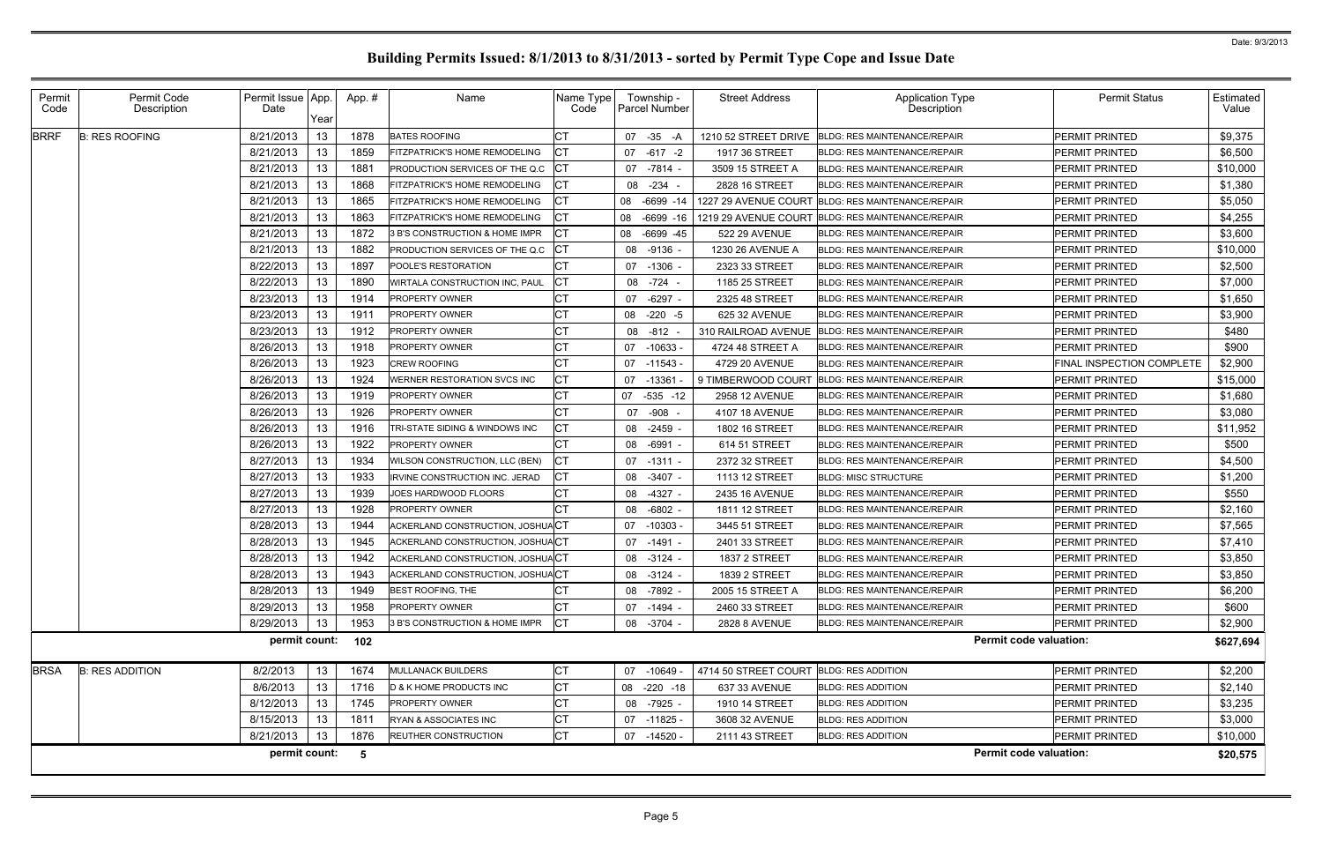| Permit<br>Code | Permit Code<br>Description | Permit Issue App.<br>Date |      | App.# | Name                                      | Name Type<br>Code | Township -<br><b>Parcel Number</b> | <b>Street Address</b> | <b>Application Type</b><br>Description | <b>Permit Status</b>      | Estimated<br>Value |
|----------------|----------------------------|---------------------------|------|-------|-------------------------------------------|-------------------|------------------------------------|-----------------------|----------------------------------------|---------------------------|--------------------|
|                |                            |                           | Year |       |                                           |                   |                                    |                       |                                        |                           |                    |
| <b>BRRF</b>    | <b>B: RES ROOFING</b>      | 8/21/2013                 | 13   | 1878  | <b>BATES ROOFING</b>                      | СT                | 07 -35<br>-A                       | 1210 52 STREET DRIVE  | <b>BLDG: RES MAINTENANCE/REPAIR</b>    | PERMIT PRINTED            | \$9,375            |
|                |                            | 8/21/2013                 | 13   | 1859  | FITZPATRICK'S HOME REMODELING             | CТ                | 07 -617 -2                         | 1917 36 STREET        | <b>BLDG: RES MAINTENANCE/REPAIR</b>    | PERMIT PRINTED            | \$6,500            |
|                |                            | 8/21/2013                 | 13   | 1881  | PRODUCTION SERVICES OF THE Q.C.           | СT                | 07 -7814 -                         | 3509 15 STREET A      | <b>BLDG: RES MAINTENANCE/REPAIR</b>    | PERMIT PRINTED            | \$10,000           |
|                |                            | 8/21/2013                 | 13   | 1868  | FITZPATRICK'S HOME REMODELING             | СT                | 08 -234                            | 2828 16 STREET        | <b>BLDG: RES MAINTENANCE/REPAIR</b>    | PERMIT PRINTED            | \$1,380            |
|                |                            | 8/21/2013                 | 13   | 1865  | FITZPATRICK'S HOME REMODELING             | СТ                | $-6699 - 14$<br>08                 | 1227 29 AVENUE COURT  | <b>BLDG: RES MAINTENANCE/REPAIR</b>    | PERMIT PRINTED            | \$5,050            |
|                |                            | 8/21/2013                 | 13   | 1863  | FITZPATRICK'S HOME REMODELING             | <b>CT</b>         | $-6699 - 16$<br>08                 | 1219 29 AVENUE COURT  | <b>BLDG: RES MAINTENANCE/REPAIR</b>    | PERMIT PRINTED            | \$4,255            |
|                |                            | 8/21/2013                 | 13   | 1872  | 3 B'S CONSTRUCTION & HOME IMPR            | СT                | -6699 -45<br>08                    | 522 29 AVENUE         | <b>BLDG: RES MAINTENANCE/REPAIR</b>    | PERMIT PRINTED            | \$3,600            |
|                |                            | 8/21/2013                 | 13   | 1882  | PRODUCTION SERVICES OF THE Q.C            | CT                | 08<br>$-9136$                      | 1230 26 AVENUE A      | <b>BLDG: RES MAINTENANCE/REPAIR</b>    | PERMIT PRINTED            | \$10,000           |
|                |                            | 8/22/2013                 | 13   | 1897  | POOLE'S RESTORATION                       | СΤ                | 07 -1306 -                         | 2323 33 STREET        | <b>BLDG: RES MAINTENANCE/REPAIR</b>    | PERMIT PRINTED            | \$2,500            |
|                |                            | 8/22/2013                 | 13   | 1890  | WIRTALA CONSTRUCTION INC, PAUL            | СT                | -724<br>08                         | 1185 25 STREET        | <b>BLDG: RES MAINTENANCE/REPAIR</b>    | PERMIT PRINTED            | \$7,000            |
|                |                            | 8/23/2013                 | 13   | 1914  | <b>PROPERTY OWNER</b>                     | СT                | $-6297 -$<br>07                    | 2325 48 STREET        | <b>BLDG: RES MAINTENANCE/REPAIR</b>    | PERMIT PRINTED            | \$1,650            |
|                |                            | 8/23/2013                 | 13   | 1911  | <b>PROPERTY OWNER</b>                     | СT                | $-220 - 5$<br>08                   | 625 32 AVENUE         | <b>BLDG: RES MAINTENANCE/REPAIR</b>    | <b>PERMIT PRINTED</b>     | \$3,900            |
|                |                            | 8/23/2013                 | 13   | 1912  | PROPERTY OWNER                            | СT                | 08<br>-812                         | 310 RAILROAD AVENUE   | <b>BLDG: RES MAINTENANCE/REPAIR</b>    | PERMIT PRINTED            | \$480              |
|                |                            | 8/26/2013                 | 13   | 1918  | PROPERTY OWNER                            | $C\mathsf{T}$     | $-10633$<br>07                     | 4724 48 STREET A      | <b>BLDG: RES MAINTENANCE/REPAIR</b>    | PERMIT PRINTED            | \$900              |
|                |                            | 8/26/2013                 | 13   | 1923  | <b>CREW ROOFING</b>                       | СT                | 07 -11543 -                        | 4729 20 AVENUE        | <b>BLDG: RES MAINTENANCE/REPAIR</b>    | FINAL INSPECTION COMPLETE | \$2,900            |
|                |                            | 8/26/2013                 | 13   | 1924  | <b><i>NERNER RESTORATION SVCS INC</i></b> | СT                | $-13361$<br>07                     | 9 TIMBERWOOD COURT    | <b>BLDG: RES MAINTENANCE/REPAIR</b>    | <b>PERMIT PRINTED</b>     | \$15,000           |
|                |                            | 8/26/2013                 | 13   | 1919  | PROPERTY OWNER                            | СT                | 07 -535 -12                        | 2958 12 AVENUE        | <b>BLDG: RES MAINTENANCE/REPAIR</b>    | PERMIT PRINTED            | \$1,680            |
|                |                            | 8/26/2013                 | 13   | 1926  | <b>PROPERTY OWNER</b>                     | СT                | $-908$<br>07                       | 4107 18 AVENUE        | <b>BLDG: RES MAINTENANCE/REPAIR</b>    | PERMIT PRINTED            | \$3,080            |
|                |                            | 8/26/2013                 | 13   | 1916  | TRI-STATE SIDING & WINDOWS INC            | СT                | 08 -2459 -                         | 1802 16 STREET        | <b>BLDG: RES MAINTENANCE/REPAIR</b>    | PERMIT PRINTED            | \$11,952           |
|                |                            | 8/26/2013                 | 13   | 1922  | PROPERTY OWNER                            | СT                | 08<br>$-6991$                      | 614 51 STREET         | <b>BLDG: RES MAINTENANCE/REPAIR</b>    | PERMIT PRINTED            | \$500              |
|                |                            | 8/27/2013                 | 13   | 1934  | WILSON CONSTRUCTION, LLC (BEN)            | СT                | 07 -1311 -                         | 2372 32 STREET        | <b>BLDG: RES MAINTENANCE/REPAIR</b>    | PERMIT PRINTED            | \$4,500            |
|                |                            | 8/27/2013                 | 13   | 1933  | <b>IRVINE CONSTRUCTION INC. JERAD</b>     | СT                | 08<br>$-3407 -$                    | 1113 12 STREET        | <b>BLDG: MISC STRUCTURE</b>            | PERMIT PRINTED            | \$1,200            |
|                |                            | 8/27/2013                 | 13   | 1939  | JOES HARDWOOD FLOORS                      | СT                | 08<br>$-4327 -$                    | 2435 16 AVENUE        | <b>BLDG: RES MAINTENANCE/REPAIR</b>    | PERMIT PRINTED            | \$550              |
|                |                            | 8/27/2013                 | 13   | 1928  | PROPERTY OWNER                            | СT                | $-6802 -$<br>08                    | 1811 12 STREET        | <b>BLDG: RES MAINTENANCE/REPAIR</b>    | PERMIT PRINTED            | \$2,160            |
|                |                            | 8/28/2013                 | 13   | 1944  | ACKERLAND CONSTRUCTION, JOSHUACT          |                   | 07<br>-10303 -                     | 3445 51 STREET        | <b>BLDG: RES MAINTENANCE/REPAIR</b>    | PERMIT PRINTED            | \$7,565            |
|                |                            | 8/28/2013                 | 13   | 1945  | ACKERLAND CONSTRUCTION, JOSHUACT          |                   | -1491<br>07                        | 2401 33 STREET        | <b>BLDG: RES MAINTENANCE/REPAIR</b>    | PERMIT PRINTED            | \$7,410            |
|                |                            | 8/28/2013                 | 13   | 1942  | ACKERLAND CONSTRUCTION, JOSHUACT          |                   | 08 -3124 -                         | <b>1837 2 STREET</b>  | <b>BLDG: RES MAINTENANCE/REPAIR</b>    | PERMIT PRINTED            | \$3,850            |
|                |                            | 8/28/2013                 | 13   | 1943  | ACKERLAND CONSTRUCTION, JOSHUACT          |                   | 08 -3124 -                         | 1839 2 STREET         | BLDG: RES MAINTENANCE/REPAIR           | <b>PERMIT PRINTED</b>     | \$3,850            |
|                |                            | 8/28/2013                 | 13   | 1949  | <b>BEST ROOFING, THE</b>                  |                   | 08 -7892 -                         | 2005 15 STREET A      | <b>BLDG: RES MAINTENANCE/REPAIR</b>    | PERMIT PRINTED            | \$6,200            |
|                |                            | 8/29/2013                 | 13   | 1958  | PROPERTY OWNER                            | <b>CT</b>         | 07 -1494 -                         | 2460 33 STREET        | <b>BLDG: RES MAINTENANCE/REPAIR</b>    | PERMIT PRINTED            | \$600              |
|                |                            | 8/29/2013                 | 13   | 1953  | 3 B'S CONSTRUCTION & HOME IMPR            | IСТ               | 08 -3704 -                         | 2828 8 AVENUE         | <b>BLDG: RES MAINTENANCE/REPAIR</b>    | PERMIT PRINTED            | \$2,900            |
|                |                            | permit count:             |      | 102   |                                           |                   |                                    |                       | <b>Permit code valuation:</b>          |                           | \$627,694          |
| <b>BRSA</b>    | <b>B: RES ADDITION</b>     | 8/2/2013                  | 13   | 1674  | <b>MULLANACK BUILDERS</b>                 | СT                | 07 -10649                          | 4714 50 STREET COURT  | <b>BLDG: RES ADDITION</b>              | PERMIT PRINTED            | \$2,200            |
|                |                            | 8/6/2013                  | 13   | 1716  | <b>D &amp; K HOME PRODUCTS INC</b>        | СT                | 08 -220 -18                        | 637 33 AVENUE         | <b>BLDG: RES ADDITION</b>              | <b>PERMIT PRINTED</b>     | \$2,140            |
|                |                            | 8/12/2013                 | 13   | 1745  | PROPERTY OWNER                            | СT                | 08 -7925 -                         | 1910 14 STREET        | <b>BLDG: RES ADDITION</b>              | PERMIT PRINTED            | \$3,235            |
|                |                            | 8/15/2013                 | 13   | 1811  | RYAN & ASSOCIATES INC                     | СT                | 07 -11825 -                        | 3608 32 AVENUE        | <b>BLDG: RES ADDITION</b>              | PERMIT PRINTED            | \$3,000            |
|                |                            | 8/21/2013                 | 13   | 1876  | REUTHER CONSTRUCTION                      | СT                | 07 -14520 -                        | 2111 43 STREET        | <b>BLDG: RES ADDITION</b>              | PERMIT PRINTED            | \$10,000           |
|                |                            | permit count:             |      | -5    |                                           |                   |                                    |                       | <b>Permit code valuation:</b>          |                           | \$20,575           |
|                |                            |                           |      |       |                                           |                   |                                    |                       |                                        |                           |                    |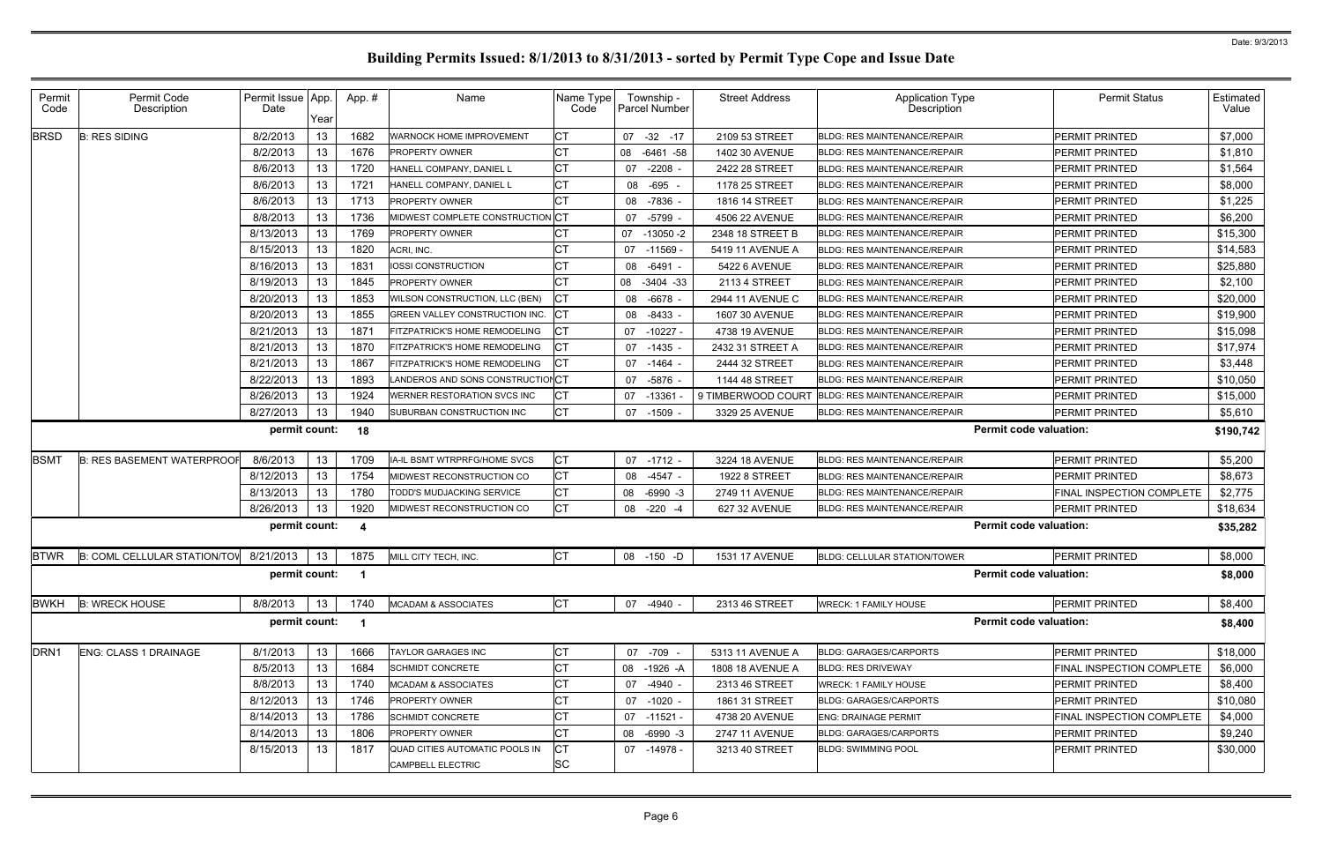| Permit<br>Code   | Permit Code<br>Description        | Permit Issue App.<br>Date | Year            | App.#       | Name                             | Name Type<br>Code | Township -<br>Parcel Number | <b>Street Address</b> | <b>Application Type</b><br>Description | <b>Permit Status</b>          | Estimated<br>Value |
|------------------|-----------------------------------|---------------------------|-----------------|-------------|----------------------------------|-------------------|-----------------------------|-----------------------|----------------------------------------|-------------------------------|--------------------|
| <b>BRSD</b>      | <b>B: RES SIDING</b>              | 8/2/2013                  | 13              | 1682        | WARNOCK HOME IMPROVEMENT         | <b>CT</b>         | $-32$<br>07<br>$-17$        | 2109 53 STREET        | <b>BLDG: RES MAINTENANCE/REPAIR</b>    | <b>PERMIT PRINTED</b>         | \$7,000            |
|                  |                                   | 8/2/2013                  | 13              | 1676        | PROPERTY OWNER                   | <b>CT</b>         | 08 -6461 -58                | 1402 30 AVENUE        | <b>BLDG: RES MAINTENANCE/REPAIR</b>    | <b>PERMIT PRINTED</b>         | \$1,810            |
|                  |                                   | 8/6/2013                  | 13              | 1720        | HANELL COMPANY, DANIEL L         | <b>CT</b>         | $-2208 -$<br>07             | 2422 28 STREET        | <b>BLDG: RES MAINTENANCE/REPAIR</b>    | <b>PERMIT PRINTED</b>         | \$1,564            |
|                  |                                   | 8/6/2013                  | 13              | 1721        | HANELL COMPANY, DANIEL L         | <b>CT</b>         | $-695$<br>08                | 1178 25 STREET        | <b>BLDG: RES MAINTENANCE/REPAIR</b>    | <b>PERMIT PRINTED</b>         | \$8,000            |
|                  |                                   | 8/6/2013                  | 13              | 1713        | PROPERTY OWNER                   | <b>CT</b>         | -7836 -<br>08               | 1816 14 STREET        | <b>BLDG: RES MAINTENANCE/REPAIR</b>    | <b>PERMIT PRINTED</b>         | \$1,225            |
|                  |                                   | 8/8/2013                  | 13              | 1736        | MIDWEST COMPLETE CONSTRUCTION    | √∣ст              | -5799 -<br>07               | 4506 22 AVENUE        | <b>BLDG: RES MAINTENANCE/REPAIR</b>    | <b>PERMIT PRINTED</b>         | \$6,200            |
|                  |                                   | 8/13/2013                 | 13              | 1769        | PROPERTY OWNER                   | СT                | $-13050 - 2$<br>07          | 2348 18 STREET B      | <b>BLDG: RES MAINTENANCE/REPAIR</b>    | <b>PERMIT PRINTED</b>         | \$15,300           |
|                  |                                   | 8/15/2013                 | 13              | 1820        | ACRI, INC.                       | <b>CT</b>         | 07<br>$-11569 -$            | 5419 11 AVENUE A      | <b>BLDG: RES MAINTENANCE/REPAIR</b>    | <b>PERMIT PRINTED</b>         | \$14,583           |
|                  |                                   | 8/16/2013                 | 13              | 1831        | IOSSI CONSTRUCTION               | <b>CT</b>         | 08<br>$-6491 -$             | 5422 6 AVENUE         | <b>BLDG: RES MAINTENANCE/REPAIR</b>    | <b>PERMIT PRINTED</b>         | \$25,880           |
|                  |                                   | 8/19/2013                 | 13              | 1845        | PROPERTY OWNER                   | СT                | 08 -3404 -33                | 2113 4 STREET         | <b>BLDG: RES MAINTENANCE/REPAIR</b>    | <b>PERMIT PRINTED</b>         | \$2,100            |
|                  |                                   | 8/20/2013                 | 13              | 1853        | WILSON CONSTRUCTION, LLC (BEN)   | СT                | $-6678 -$<br>08             | 2944 11 AVENUE C      | BLDG: RES MAINTENANCE/REPAIR           | <b>PERMIT PRINTED</b>         | \$20,000           |
|                  |                                   | 8/20/2013                 | 13              | 1855        | GREEN VALLEY CONSTRUCTION INC.   | СT                | $-8433 -$<br>08             | 1607 30 AVENUE        | <b>BLDG: RES MAINTENANCE/REPAIR</b>    | <b>PERMIT PRINTED</b>         | \$19,900           |
|                  |                                   | 8/21/2013                 | 13              | 1871        | FITZPATRICK'S HOME REMODELING    | СT                | 07<br>-10227 -              | 4738 19 AVENUE        | <b>BLDG: RES MAINTENANCE/REPAIR</b>    | <b>PERMIT PRINTED</b>         | \$15,098           |
|                  |                                   | 8/21/2013                 | 13              | 1870        | FITZPATRICK'S HOME REMODELING    | CT                | $-1435 -$<br>07             | 2432 31 STREET A      | <b>BLDG: RES MAINTENANCE/REPAIR</b>    | <b>PERMIT PRINTED</b>         | \$17,974           |
|                  |                                   | 8/21/2013                 | 13              | 1867        | FITZPATRICK'S HOME REMODELING    | СT                | 07 -1464 -                  | 2444 32 STREET        | <b>BLDG: RES MAINTENANCE/REPAIR</b>    | <b>PERMIT PRINTED</b>         | \$3,448            |
|                  |                                   | 8/22/2013                 | 13              | 1893        | LANDEROS AND SONS CONSTRUCTIONCT |                   | $-5876$<br>07               | 1144 48 STREET        | <b>BLDG: RES MAINTENANCE/REPAIR</b>    | <b>PERMIT PRINTED</b>         | \$10,050           |
|                  |                                   | 8/26/2013                 | 13              | 1924        | WERNER RESTORATION SVCS INC      | СT                | 07<br>$-1336'$              | 9 TIMBERWOOD COURT    | <b>BLDG: RES MAINTENANCE/REPAIR</b>    | <b>PERMIT PRINTED</b>         | \$15,000           |
|                  |                                   | 8/27/2013                 | 13              | 1940        | SUBURBAN CONSTRUCTION INC        | <b>CT</b>         | 07<br>$-1509$               | 3329 25 AVENUE        | <b>BLDG: RES MAINTENANCE/REPAIR</b>    | <b>PERMIT PRINTED</b>         | \$5,610            |
|                  | permit count:                     |                           |                 | 18          |                                  |                   |                             |                       |                                        | <b>Permit code valuation:</b> | \$190,742          |
| <b>BSMT</b>      | <b>B: RES BASEMENT WATERPROOF</b> | 8/6/2013                  | 13              | 1709        | IA-IL BSMT WTRPRFG/HOME SVCS     | СT                | 07<br>$-1712 -$             | 3224 18 AVENUE        | <b>BLDG: RES MAINTENANCE/REPAIR</b>    | <b>PERMIT PRINTED</b>         | \$5,200            |
|                  |                                   | 8/12/2013                 | 13              | 1754        | MIDWEST RECONSTRUCTION CO        | <b>CT</b>         | $-4547 -$<br>08             | 1922 8 STREET         | <b>BLDG: RES MAINTENANCE/REPAIR</b>    | <b>PERMIT PRINTED</b>         | \$8,673            |
|                  |                                   | 8/13/2013                 | 13              | 1780        | TODD'S MUDJACKING SERVICE        | СT                | $-6990 -3$<br>08            | 2749 11 AVENUE        | <b>BLDG: RES MAINTENANCE/REPAIR</b>    | FINAL INSPECTION COMPLETE     | \$2,775            |
|                  |                                   | 8/26/2013                 | 13              | 1920        | MIDWEST RECONSTRUCTION CO        | <b>CT</b>         | 08 -220 -4                  | 627 32 AVENUE         | <b>BLDG: RES MAINTENANCE/REPAIR</b>    | PERMIT PRINTED                | \$18,634           |
|                  |                                   | permit count:             |                 | 4           |                                  |                   |                             |                       |                                        | <b>Permit code valuation:</b> | \$35,282           |
| <b>BTWR</b>      | B: COML CELLULAR STATION/TOV      | 8/21/2013                 | 13              | 1875        | MILL CITY TECH, INC.             | СT                | 08 -150 -D                  | <b>1531 17 AVENUE</b> | <b>BLDG: CELLULAR STATION/TOWER</b>    | <b>PERMIT PRINTED</b>         | \$8,000            |
|                  |                                   | permit count: 1           |                 |             |                                  |                   |                             |                       |                                        | <b>Permit code valuation:</b> | \$8,000            |
| <b>BWKH</b>      | <b>B: WRECK HOUSE</b>             | 8/8/2013                  | 13 <sup>7</sup> | 1740        | <b>MCADAM &amp; ASSOCIATES</b>   | <b>CT</b>         | 07 -4940 -                  | 2313 46 STREET        | <b>WRECK: 1 FAMILY HOUSE</b>           | PERMIT PRINTED                | \$8,400            |
|                  |                                   | permit count:             |                 | $\mathbf 1$ |                                  |                   |                             |                       |                                        | <b>Permit code valuation:</b> | \$8,400            |
| DRN <sub>1</sub> | <b>ENG: CLASS 1 DRAINAGE</b>      | 8/1/2013                  | 13              | 1666        | TAYLOR GARAGES INC               | <b>CT</b>         | 07 -709                     | 5313 11 AVENUE A      | <b>BLDG: GARAGES/CARPORTS</b>          | PERMIT PRINTED                | \$18,000           |
|                  |                                   | 8/5/2013                  | 13              | 1684        | <b>SCHMIDT CONCRETE</b>          | СT                | 08 -1926 -A                 | 1808 18 AVENUE A      | <b>BLDG: RES DRIVEWAY</b>              | FINAL INSPECTION COMPLETE     | \$6,000            |
|                  |                                   | 8/8/2013                  | 13              | 1740        | <b>MCADAM &amp; ASSOCIATES</b>   | СT                | $-4940 -$<br>07             | 2313 46 STREET        | <b>WRECK: 1 FAMILY HOUSE</b>           | <b>PERMIT PRINTED</b>         | \$8,400            |
|                  |                                   | 8/12/2013                 | 13              | 1746        | <b>PROPERTY OWNER</b>            | <b>CT</b>         | 07 -1020 -                  | 1861 31 STREET        | <b>BLDG: GARAGES/CARPORTS</b>          | <b>PERMIT PRINTED</b>         | \$10,080           |
|                  |                                   | 8/14/2013                 | 13              | 1786        | <b>SCHMIDT CONCRETE</b>          | СT                | 07 -11521 -                 | 4738 20 AVENUE        | <b>ENG: DRAINAGE PERMIT</b>            | FINAL INSPECTION COMPLETE     | \$4,000            |
|                  |                                   | 8/14/2013                 | 13              | 1806        | PROPERTY OWNER                   | <b>CT</b>         | $-6990 -3$<br>08            | 2747 11 AVENUE        | <b>BLDG: GARAGES/CARPORTS</b>          | <b>PERMIT PRINTED</b>         | \$9,240            |
|                  |                                   | 8/15/2013                 | 13              | 1817        | QUAD CITIES AUTOMATIC POOLS IN   | СT                | 07 -14978 -                 | 3213 40 STREET        | <b>BLDG: SWIMMING POOL</b>             | <b>PERMIT PRINTED</b>         | \$30,000           |
|                  |                                   |                           |                 |             | <b>CAMPBELL ELECTRIC</b>         | SC                |                             |                       |                                        |                               |                    |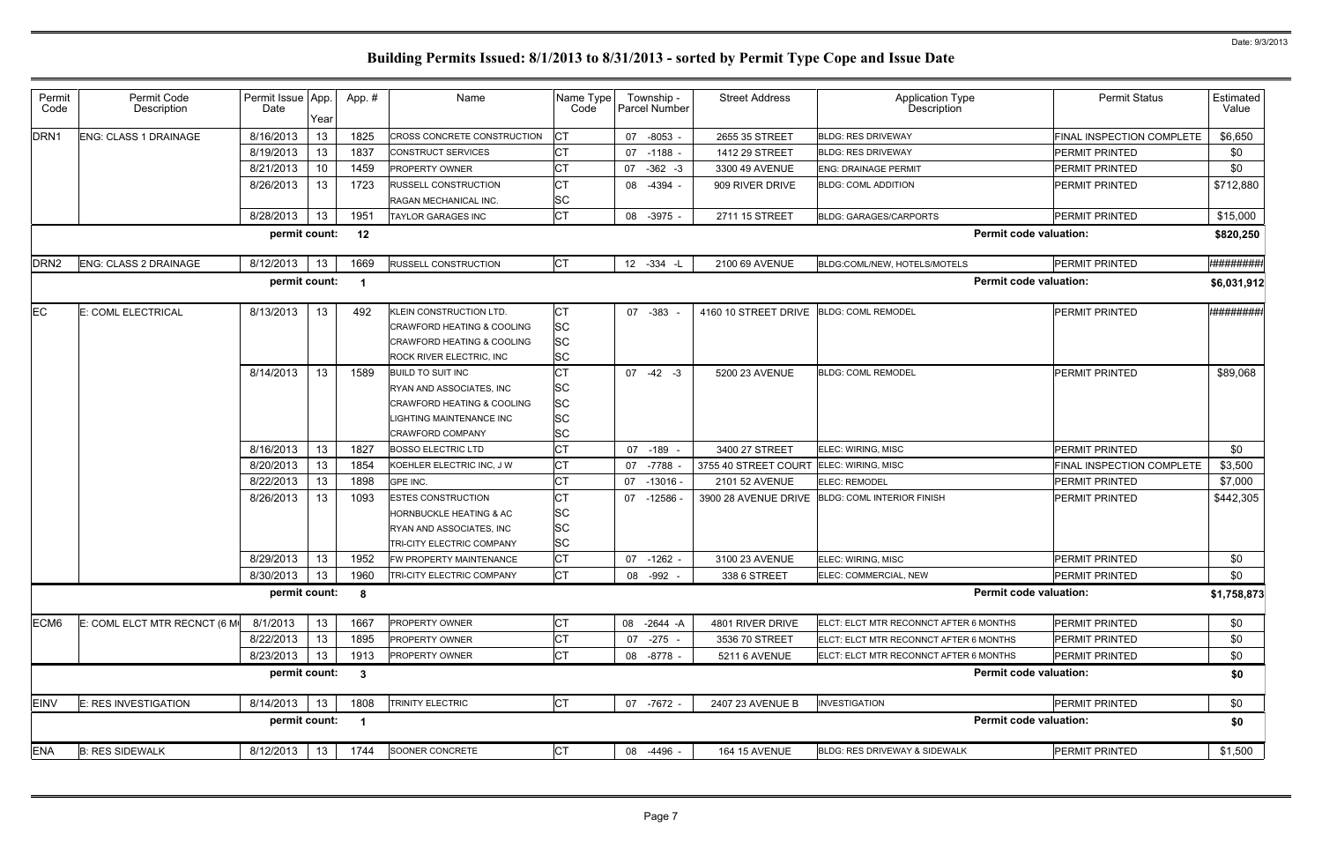| Permit<br>Code   | Permit Code<br>Description   | Permit Issue App.<br>Date | Year | App.#        | Name                                                  | Name Type<br>Code      | Township -<br><b>Parcel Number</b> | <b>Street Address</b>                   | <b>Application Type</b><br>Description          | <b>Permit Status</b>      | Estimated<br>Value  |
|------------------|------------------------------|---------------------------|------|--------------|-------------------------------------------------------|------------------------|------------------------------------|-----------------------------------------|-------------------------------------------------|---------------------------|---------------------|
| DRN <sub>1</sub> | ENG: CLASS 1 DRAINAGE        | 8/16/2013                 | 13   | 1825         | CROSS CONCRETE CONSTRUCTION                           | СT                     | $-8053 -$<br>07                    | 2655 35 STREET                          | <b>BLDG: RES DRIVEWAY</b>                       | FINAL INSPECTION COMPLETE | \$6,650             |
|                  |                              | 8/19/2013                 | 13   | 1837         | CONSTRUCT SERVICES                                    | СT                     | 07 -1188 -                         | 1412 29 STREET                          | <b>BLDG: RES DRIVEWAY</b>                       | <b>PERMIT PRINTED</b>     | \$0                 |
|                  |                              | 8/21/2013                 | 10   | 1459         | <b>PROPERTY OWNER</b>                                 | СT                     | 07 -362 -3                         | 3300 49 AVENUE                          | <b>ENG: DRAINAGE PERMIT</b>                     | <b>PERMIT PRINTED</b>     | \$0                 |
|                  |                              | 8/26/2013                 | 13   | 1723         | RUSSELL CONSTRUCTION                                  | СT                     | -4394 -<br>08                      | 909 RIVER DRIVE                         | <b>BLDG: COML ADDITION</b>                      | PERMIT PRINTED            | \$712,880           |
|                  |                              |                           |      |              | RAGAN MECHANICAL INC.                                 | SC                     |                                    |                                         |                                                 |                           |                     |
|                  |                              | 8/28/2013                 | 13   | 1951         | <b>TAYLOR GARAGES INC</b>                             | <b>CT</b>              | 08 -3975 -                         | 2711 15 STREET                          | <b>BLDG: GARAGES/CARPORTS</b>                   | <b>PERMIT PRINTED</b>     | \$15,000            |
|                  |                              | permit count:             |      | 12           |                                                       |                        |                                    |                                         | <b>Permit code valuation:</b>                   |                           | \$820,250           |
| DRN <sub>2</sub> | ENG: CLASS 2 DRAINAGE        | 8/12/2013                 | 13   | 1669         | <b>RUSSELL CONSTRUCTION</b>                           | <b>CT</b>              | 12 -334 -L                         | 2100 69 AVENUE                          | BLDG:COML/NEW, HOTELS/MOTELS                    | PERMIT PRINTED            | <b>H###########</b> |
|                  |                              | permit count:             |      |              |                                                       |                        |                                    |                                         | <b>Permit code valuation:</b>                   |                           | \$6,031,912         |
| EC.              | E: COML ELECTRICAL           | 8/13/2013                 | 13   | 492          | KLEIN CONSTRUCTION LTD.                               | СT                     | 07 -383                            | 4160 10 STREET DRIVE BLDG: COML REMODEL |                                                 | PERMIT PRINTED            | <b>***********</b>  |
|                  |                              |                           |      |              | <b>CRAWFORD HEATING &amp; COOLING</b>                 | SC                     |                                    |                                         |                                                 |                           |                     |
|                  |                              |                           |      |              | CRAWFORD HEATING & COOLING                            | <b>SC</b>              |                                    |                                         |                                                 |                           |                     |
|                  |                              |                           |      |              | ROCK RIVER ELECTRIC, INC                              | <b>SC</b>              |                                    |                                         |                                                 |                           |                     |
|                  |                              | 8/14/2013                 | 13   | 1589         | <b>BUILD TO SUIT INC</b>                              | СT                     | $07 -42 -3$                        | 5200 23 AVENUE                          | <b>BLDG: COML REMODEL</b>                       | <b>PERMIT PRINTED</b>     | \$89,068            |
|                  |                              |                           |      |              | RYAN AND ASSOCIATES, INC                              | <b>SC</b>              |                                    |                                         |                                                 |                           |                     |
|                  |                              |                           |      |              | CRAWFORD HEATING & COOLING                            | <b>SC</b>              |                                    |                                         |                                                 |                           |                     |
|                  |                              |                           |      |              | LIGHTING MAINTENANCE INC                              | <b>SC</b>              |                                    |                                         |                                                 |                           |                     |
|                  |                              |                           |      |              | <b>CRAWFORD COMPANY</b>                               | <b>SC</b>              |                                    |                                         |                                                 |                           |                     |
|                  |                              | 8/16/2013                 | 13   | 1827         | <b>BOSSO ELECTRIC LTD</b>                             | СT                     | 07 -189                            | 3400 27 STREET                          | ELEC: WIRING, MISC                              | <b>PERMIT PRINTED</b>     | \$0                 |
|                  |                              | 8/20/2013                 | 13   | 1854         | KOEHLER ELECTRIC INC, J W                             | СT                     | 07 -7788                           | 3755 40 STREET COURT                    | <b>ELEC: WIRING, MISC</b>                       | FINAL INSPECTION COMPLETE | \$3,500             |
|                  |                              | 8/22/2013                 | 13   | 1898         | GPE INC.                                              | <b>CT</b>              | $07 - 13016$                       | 2101 52 AVENUE                          | <b>ELEC: REMODEL</b>                            | <b>PERMIT PRINTED</b>     | \$7,000             |
|                  |                              | 8/26/2013                 | 13   | 1093         | <b>ESTES CONSTRUCTION</b>                             | СT                     | $-12586$<br>07                     |                                         | 3900 28 AVENUE DRIVE BLDG: COML INTERIOR FINISH | <b>PERMIT PRINTED</b>     | \$442,305           |
|                  |                              |                           |      |              | HORNBUCKLE HEATING & AC                               | <b>SC</b>              |                                    |                                         |                                                 |                           |                     |
|                  |                              |                           |      |              | RYAN AND ASSOCIATES, INC<br>TRI-CITY ELECTRIC COMPANY | <b>SC</b><br><b>SC</b> |                                    |                                         |                                                 |                           |                     |
|                  |                              | 8/29/2013                 | 13   | 1952         | FW PROPERTY MAINTENANCE                               | <b>CT</b>              | 07 -1262 -                         | 3100 23 AVENUE                          | ELEC: WIRING, MISC                              | <b>PERMIT PRINTED</b>     | \$0                 |
|                  |                              | 8/30/2013                 | 13   | 1960         | TRI-CITY ELECTRIC COMPANY                             | <b>CT</b>              | 08 -992 -                          | 338 6 STREET                            | ELEC: COMMERCIAL, NEW                           | <b>PERMIT PRINTED</b>     | \$0                 |
|                  |                              | permit count:             |      |              |                                                       |                        |                                    |                                         | <b>Permit code valuation:</b>                   |                           |                     |
|                  |                              |                           |      | 8            |                                                       |                        |                                    |                                         |                                                 |                           | \$1,758,873         |
| ECM <sub>6</sub> | E: COML ELCT MTR RECNCT (6 M | 8/1/2013                  | 13   | 1667         | <b>PROPERTY OWNER</b>                                 | <b>CT</b>              | 08 -2644 -A                        | 4801 RIVER DRIVE                        | ELCT: ELCT MTR RECONNCT AFTER 6 MONTHS          | PERMIT PRINTED            | \$0                 |
|                  |                              | 8/22/2013                 | 13   | 1895         | <b>PROPERTY OWNER</b>                                 | <b>CT</b>              | 07 -275 -                          | 3536 70 STREET                          | ELCT: ELCT MTR RECONNCT AFTER 6 MONTHS          | <b>PERMIT PRINTED</b>     | \$0                 |
|                  |                              | 8/23/2013                 | 13   | 1913         | <b>PROPERTY OWNER</b>                                 | <b>CT</b>              | 08 -8778 -                         | 5211 6 AVENUE                           | ELCT: ELCT MTR RECONNCT AFTER 6 MONTHS          | PERMIT PRINTED            | \$0                 |
|                  |                              | permit count:             |      | $\mathbf{3}$ |                                                       |                        |                                    |                                         | <b>Permit code valuation:</b>                   |                           | \$0                 |
| <b>EINV</b>      | E: RES INVESTIGATION         | 8/14/2013                 | 13   | 1808         | TRINITY ELECTRIC                                      | <b>CT</b>              | 07 -7672 -                         | 2407 23 AVENUE B                        | <b>INVESTIGATION</b>                            | PERMIT PRINTED            | \$0                 |
|                  |                              | permit count:             |      |              |                                                       |                        |                                    |                                         | <b>Permit code valuation:</b>                   |                           | \$0                 |
| <b>ENA</b>       | <b>B: RES SIDEWALK</b>       | 8/12/2013                 | 13   | 1744         | SOONER CONCRETE                                       | <b>CT</b>              | 08 -4496 -                         | <b>164 15 AVENUE</b>                    | BLDG: RES DRIVEWAY & SIDEWALK                   | PERMIT PRINTED            | \$1,500             |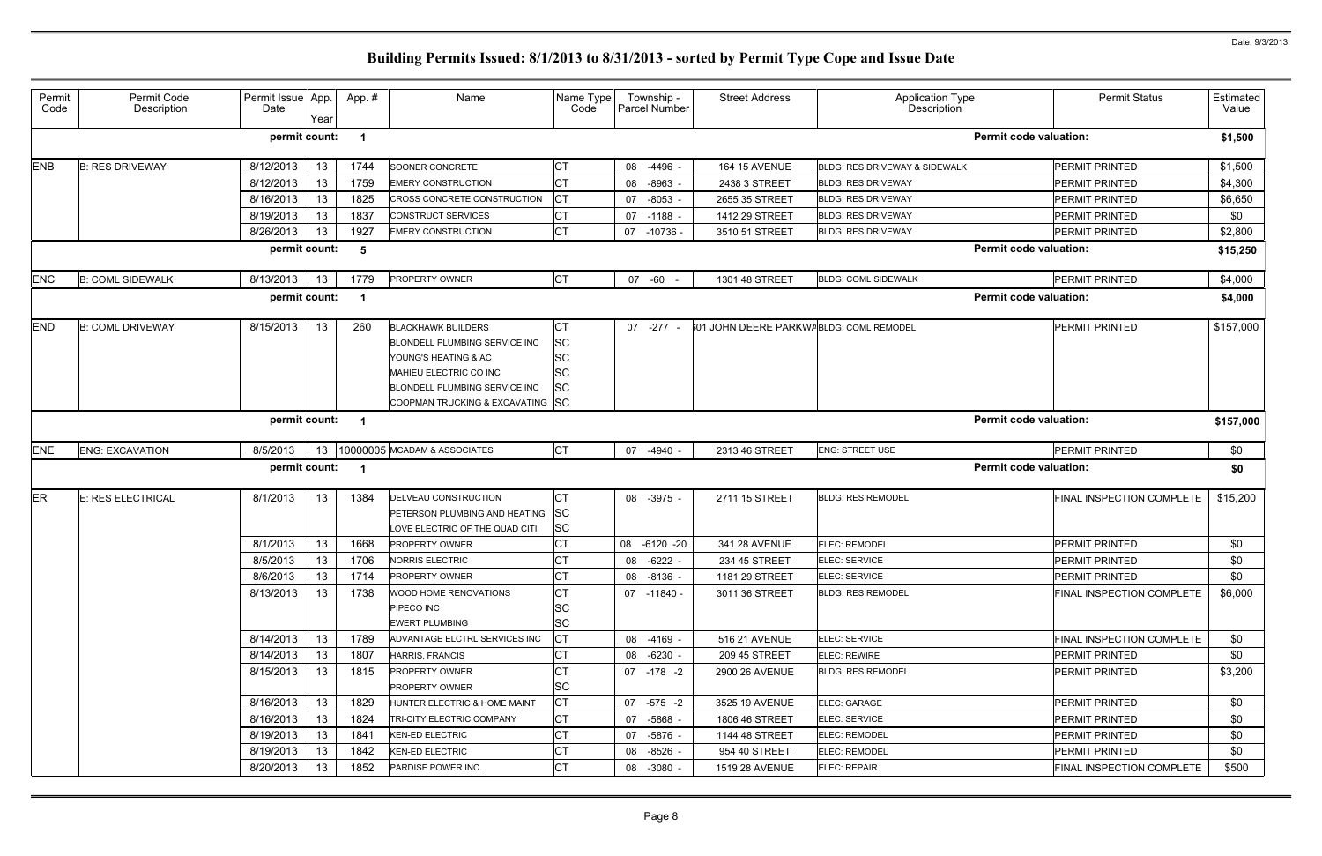| Permit<br>Code | Permit Code<br>Description | Permit Issue App.<br>Date | Year | App.# | Name                                                                                                                                                                                     | Name Type<br>Code                                             | Township -<br>Parcel Number | <b>Street Address</b>                   | Application Type<br>Description | <b>Permit Status</b>          | Estimated<br>Value |
|----------------|----------------------------|---------------------------|------|-------|------------------------------------------------------------------------------------------------------------------------------------------------------------------------------------------|---------------------------------------------------------------|-----------------------------|-----------------------------------------|---------------------------------|-------------------------------|--------------------|
|                |                            | permit count:             |      |       |                                                                                                                                                                                          |                                                               |                             |                                         |                                 | <b>Permit code valuation:</b> | \$1,500            |
| <b>ENB</b>     | <b>B: RES DRIVEWAY</b>     | 8/12/2013                 | 13   | 1744  | SOONER CONCRETE                                                                                                                                                                          | <b>CT</b>                                                     | 08<br>-4496                 | <b>164 15 AVENUE</b>                    | BLDG: RES DRIVEWAY & SIDEWALK   | <b>PERMIT PRINTED</b>         | \$1,500            |
|                |                            | 8/12/2013                 | 13   | 1759  | <b>EMERY CONSTRUCTION</b>                                                                                                                                                                | СT                                                            | $-8963$<br>08               | 2438 3 STREET                           | <b>BLDG: RES DRIVEWAY</b>       | <b>PERMIT PRINTED</b>         | \$4,300            |
|                |                            | 8/16/2013                 | 13   | 1825  | CROSS CONCRETE CONSTRUCTION                                                                                                                                                              | <b>CT</b>                                                     | $-8053$<br>07               | 2655 35 STREET                          | <b>BLDG: RES DRIVEWAY</b>       | <b>PERMIT PRINTED</b>         | \$6,650            |
|                |                            | 8/19/2013                 | 13   | 1837  | <b>CONSTRUCT SERVICES</b>                                                                                                                                                                | <b>CT</b>                                                     | 07 -1188                    | 1412 29 STREET                          | <b>BLDG: RES DRIVEWAY</b>       | <b>PERMIT PRINTED</b>         | \$0                |
|                |                            | 8/26/2013                 | 13   | 1927  | <b>EMERY CONSTRUCTION</b>                                                                                                                                                                | <b>CT</b>                                                     | $-10736$<br>07              | 3510 51 STREET                          | <b>BLDG: RES DRIVEWAY</b>       | <b>PERMIT PRINTED</b>         | \$2,800            |
|                |                            | permit count:             |      | -5    |                                                                                                                                                                                          |                                                               |                             |                                         |                                 | <b>Permit code valuation:</b> | \$15,250           |
| <b>ENC</b>     | <b>B: COML SIDEWALK</b>    | 8/13/2013                 | 13   | 1779  | <b>PROPERTY OWNER</b>                                                                                                                                                                    | <b>CT</b>                                                     | -60<br>07                   | 1301 48 STREET                          | <b>BLDG: COML SIDEWALK</b>      | PERMIT PRINTED                | \$4,000            |
|                |                            | permit count:             |      |       |                                                                                                                                                                                          |                                                               |                             |                                         |                                 | <b>Permit code valuation:</b> | \$4,000            |
| <b>END</b>     | <b>B: COML DRIVEWAY</b>    | 8/15/2013                 | 13   | 260   | <b>BLACKHAWK BUILDERS</b><br>BLONDELL PLUMBING SERVICE INC<br>YOUNG'S HEATING & AC<br>MAHIEU ELECTRIC CO INC<br><b>BLONDELL PLUMBING SERVICE INC</b><br>COOPMAN TRUCKING & EXCAVATING SC | <b>CT</b><br><b>SC</b><br><b>SC</b><br><b>SC</b><br><b>SC</b> | 07 -277                     | 601 JOHN DEERE PARKWABLDG: COML REMODEL |                                 | <b>PERMIT PRINTED</b>         | \$157,000          |
|                |                            | permit count:             |      |       |                                                                                                                                                                                          |                                                               |                             |                                         |                                 | <b>Permit code valuation:</b> | \$157,000          |
| <b>ENE</b>     | <b>ENG: EXCAVATION</b>     | 8/5/2013                  | 13   |       | 10000005 MCADAM & ASSOCIATES                                                                                                                                                             | <b>CT</b>                                                     | 07<br>-4940 -               | 2313 46 STREET                          | <b>ENG: STREET USE</b>          | PERMIT PRINTED                | \$0                |
|                |                            | permit count:             |      |       |                                                                                                                                                                                          |                                                               |                             |                                         |                                 | <b>Permit code valuation:</b> | \$0                |
| <b>ER</b>      | E: RES ELECTRICAL          | 8/1/2013                  | 13   | 1384  | DELVEAU CONSTRUCTION<br>PETERSON PLUMBING AND HEATING<br>LOVE ELECTRIC OF THE QUAD CITI                                                                                                  | СT<br><b>SC</b><br><b>SC</b>                                  | 08<br>-3975 -               | 2711 15 STREET                          | <b>BLDG: RES REMODEL</b>        | FINAL INSPECTION COMPLETE     | \$15,200           |
|                |                            | 8/1/2013                  | 13   | 1668  | <b>PROPERTY OWNER</b>                                                                                                                                                                    | СT                                                            | 08 -6120 -20                | 341 28 AVENUE                           | ELEC: REMODEL                   | <b>PERMIT PRINTED</b>         | \$0                |
|                |                            | 8/5/2013                  | 13   | 1706  | <b>NORRIS ELECTRIC</b>                                                                                                                                                                   | <b>CT</b>                                                     | $-6222 -$<br>08             | 234 45 STREET                           | ELEC: SERVICE                   | <b>PERMIT PRINTED</b>         | \$0                |
|                |                            | 8/6/2013                  | 13   | 1714  | <b>PROPERTY OWNER</b>                                                                                                                                                                    | <b>CT</b>                                                     | 08 -8136 -                  | 1181 29 STREET                          | ELEC: SERVICE                   | <b>PERMIT PRINTED</b>         | \$0                |
|                |                            | 8/13/2013                 | 13   | 1738  | WOOD HOME RENOVATIONS<br>PIPECO INC<br><b>EWERT PLUMBING</b>                                                                                                                             | <b>CT</b><br><b>SC</b><br><b>SC</b>                           | 07 -11840 -                 | 3011 36 STREET                          | <b>BLDG: RES REMODEL</b>        | FINAL INSPECTION COMPLETE     | \$6,000            |
|                |                            | 8/14/2013                 | 13   | 1789  | ADVANTAGE ELCTRL SERVICES INC                                                                                                                                                            | СT                                                            | 08 -4169 -                  | 516 21 AVENUE                           | ELEC: SERVICE                   | FINAL INSPECTION COMPLETE     | \$0                |
|                |                            | 8/14/2013                 | 13   | 1807  | <b>HARRIS, FRANCIS</b>                                                                                                                                                                   | <b>CT</b>                                                     | 08 -6230 -                  | 209 45 STREET                           | <b>ELEC: REWIRE</b>             | <b>PERMIT PRINTED</b>         | \$0                |
|                |                            | 8/15/2013                 | 13   | 1815  | <b>PROPERTY OWNER</b><br><b>PROPERTY OWNER</b>                                                                                                                                           | СT<br><b>SC</b>                                               | 07 -178 -2                  | 2900 26 AVENUE                          | <b>BLDG: RES REMODEL</b>        | <b>PERMIT PRINTED</b>         | \$3,200            |
|                |                            | 8/16/2013                 | 13   | 1829  | <b>HUNTER ELECTRIC &amp; HOME MAINT</b>                                                                                                                                                  | <b>CT</b>                                                     | 07 -575 -2                  | 3525 19 AVENUE                          | ELEC: GARAGE                    | <b>PERMIT PRINTED</b>         | \$0                |
|                |                            | 8/16/2013                 | 13   | 1824  | <b>TRI-CITY ELECTRIC COMPANY</b>                                                                                                                                                         | <b>CT</b>                                                     | 07 -5868 -                  | 1806 46 STREET                          | ELEC: SERVICE                   | <b>PERMIT PRINTED</b>         | \$0                |
|                |                            | 8/19/2013                 | 13   | 1841  | <b>KEN-ED ELECTRIC</b>                                                                                                                                                                   | СT                                                            | 07 -5876 -                  | 1144 48 STREET                          | <b>ELEC: REMODEL</b>            | <b>PERMIT PRINTED</b>         | \$0                |
|                |                            | 8/19/2013                 | 13   | 1842  | <b>KEN-ED ELECTRIC</b>                                                                                                                                                                   | СT                                                            | $-8526 -$<br>08             | 954 40 STREET                           | ELEC: REMODEL                   | <b>PERMIT PRINTED</b>         | \$0                |
|                |                            | 8/20/2013                 | 13   | 1852  | PARDISE POWER INC.                                                                                                                                                                       | <b>CT</b>                                                     | 08 -3080 -                  | <b>1519 28 AVENUE</b>                   | ELEC: REPAIR                    | FINAL INSPECTION COMPLETE     | \$500              |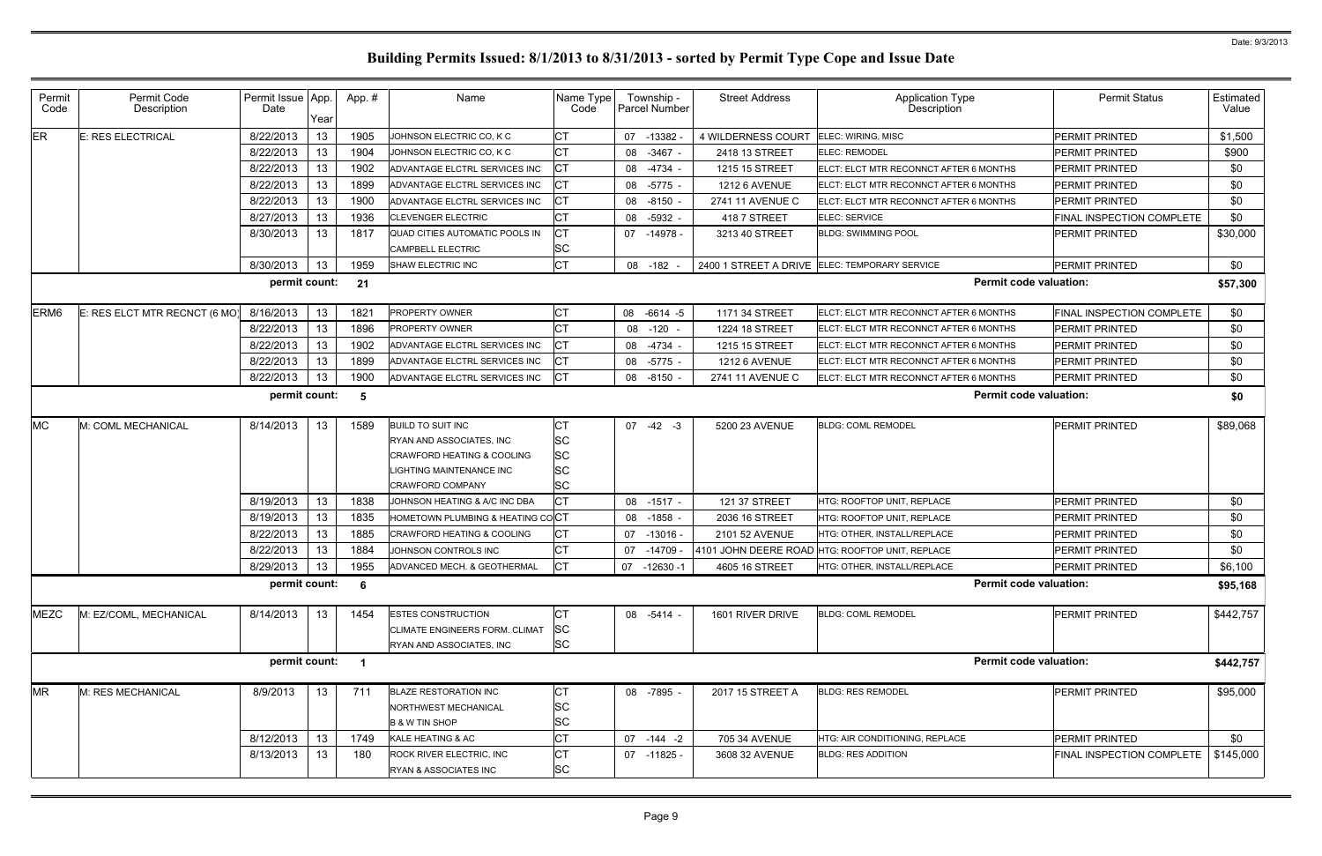| Permit<br>Code   | Permit Code<br>Description   | Permit Issue App.<br>Date |                 | App.#          | Name                                                                                                                                     | Name Type<br>Code            | Township -<br>Parcel Number | <b>Street Address</b>   | <b>Application Type</b><br>Description          | <b>Permit Status</b>      | Estimated<br>Value |
|------------------|------------------------------|---------------------------|-----------------|----------------|------------------------------------------------------------------------------------------------------------------------------------------|------------------------------|-----------------------------|-------------------------|-------------------------------------------------|---------------------------|--------------------|
| ER               | <b>E: RES ELECTRICAL</b>     | 8/22/2013                 | Year<br>13      | 1905           | JOHNSON ELECTRIC CO, K C                                                                                                                 | СT                           | -13382<br>07                | 4 WILDERNESS COURT      | ELEC: WIRING, MISC                              | <b>PERMIT PRINTED</b>     | \$1,500            |
|                  |                              | 8/22/2013                 | 13              | 1904           | JOHNSON ELECTRIC CO, K C                                                                                                                 | СT                           | 08<br>$-3467 -$             | 2418 13 STREET          | ELEC: REMODEL                                   | PERMIT PRINTED            | \$900              |
|                  |                              | 8/22/2013                 | 13              | 1902           | ADVANTAGE ELCTRL SERVICES INC                                                                                                            | СT                           | 08 -4734 -                  | 1215 15 STREET          | ELCT: ELCT MTR RECONNCT AFTER 6 MONTHS          | <b>PERMIT PRINTED</b>     | \$0                |
|                  |                              | 8/22/2013                 | 13              | 1899           | ADVANTAGE ELCTRL SERVICES INC                                                                                                            | СT                           | 08 -5775 -                  | <b>1212 6 AVENUE</b>    | ELCT: ELCT MTR RECONNCT AFTER 6 MONTHS          | <b>PERMIT PRINTED</b>     | \$0                |
|                  |                              | 8/22/2013                 | 13              | 1900           | ADVANTAGE ELCTRL SERVICES INC                                                                                                            | СT                           | 08<br>-8150 -               | <b>2741 11 AVENUE C</b> | ELCT: ELCT MTR RECONNCT AFTER 6 MONTHS          | PERMIT PRINTED            | \$0                |
|                  |                              | 8/27/2013                 | 13              | 1936           | <b>CLEVENGER ELECTRIC</b>                                                                                                                | СT                           | $-5932 -$<br>08             | 418 7 STREET            | ELEC: SERVICE                                   | FINAL INSPECTION COMPLETE | \$0                |
|                  |                              | 8/30/2013                 | 13              | 1817           | QUAD CITIES AUTOMATIC POOLS IN<br>CAMPBELL ELECTRIC                                                                                      | СT<br>SC                     | 07 -14978 -                 | 3213 40 STREET          | <b>BLDG: SWIMMING POOL</b>                      | PERMIT PRINTED            | \$30,000           |
|                  |                              | 8/30/2013                 | 13              | 1959           | SHAW ELECTRIC INC                                                                                                                        | СT                           | 08 -182                     |                         | 2400 1 STREET A DRIVE ELEC: TEMPORARY SERVICE   | <b>PERMIT PRINTED</b>     | \$0                |
|                  |                              | permit count:             |                 | 21             |                                                                                                                                          |                              |                             |                         | <b>Permit code valuation:</b>                   |                           | \$57,300           |
| ERM <sub>6</sub> | E: RES ELCT MTR RECNCT (6 MO | 8/16/2013                 | 13              | 1821           | PROPERTY OWNER                                                                                                                           | СT                           | 08 -6614 -5                 | 1171 34 STREET          | ELCT: ELCT MTR RECONNCT AFTER 6 MONTHS          | FINAL INSPECTION COMPLETE | \$0                |
|                  |                              | 8/22/2013                 | 13              | 1896           | PROPERTY OWNER                                                                                                                           | СT                           | 08<br>$-120 -$              | 1224 18 STREET          | ELCT: ELCT MTR RECONNCT AFTER 6 MONTHS          | <b>PERMIT PRINTED</b>     | \$0                |
|                  |                              | 8/22/2013                 | 13              | 1902           | ADVANTAGE ELCTRL SERVICES INC                                                                                                            | СT                           | 08<br>-4734 -               | 1215 15 STREET          | ELCT: ELCT MTR RECONNCT AFTER 6 MONTHS          | <b>PERMIT PRINTED</b>     | \$0                |
|                  |                              | 8/22/2013                 | 13              | 1899           | ADVANTAGE ELCTRL SERVICES INC                                                                                                            | СT                           | 08<br>$-5775$ -             | <b>1212 6 AVENUE</b>    | ELCT: ELCT MTR RECONNCT AFTER 6 MONTHS          | PERMIT PRINTED            | \$0                |
|                  |                              | 8/22/2013                 | 13              | 1900           | ADVANTAGE ELCTRL SERVICES INC                                                                                                            | Iст                          | 08 -8150 -                  | 2741 11 AVENUE C        | ELCT: ELCT MTR RECONNCT AFTER 6 MONTHS          | <b>PERMIT PRINTED</b>     | \$0                |
|                  |                              | permit count:             |                 | -5             |                                                                                                                                          |                              |                             |                         | <b>Permit code valuation:</b>                   |                           | \$0                |
| <b>MC</b>        | M: COML MECHANICAL           | 8/14/2013                 | 13              | 1589           | <b>BUILD TO SUIT INC</b><br>RYAN AND ASSOCIATES, INC<br>CRAWFORD HEATING & COOLING<br>IGHTING MAINTENANCE INC<br><b>CRAWFORD COMPANY</b> | СТ<br>SC<br>SC<br>SC<br>SC   | $07 -42 -3$                 | 5200 23 AVENUE          | <b>BLDG: COML REMODEL</b>                       | PERMIT PRINTED            | \$89,068           |
|                  |                              | 8/19/2013                 | 13              | 1838           | JOHNSON HEATING & A/C INC DBA                                                                                                            | СT                           | 08<br>$-1517 -$             | 121 37 STREET           | HTG: ROOFTOP UNIT, REPLACE                      | <b>PERMIT PRINTED</b>     | \$0                |
|                  |                              | 8/19/2013                 | 13              | 1835           | HOMETOWN PLUMBING & HEATING CO <b>CT</b>                                                                                                 |                              | $-1858 -$<br>08             | 2036 16 STREET          | HTG: ROOFTOP UNIT, REPLACE                      | <b>PERMIT PRINTED</b>     | \$0                |
|                  |                              | 8/22/2013                 | 13              | 1885           | <b>CRAWFORD HEATING &amp; COOLING</b>                                                                                                    | СT                           | 07<br>-13016 -              | 2101 52 AVENUE          | HTG: OTHER, INSTALL/REPLACE                     | <b>PERMIT PRINTED</b>     | \$0                |
|                  |                              | 8/22/2013                 | 13              | 1884           | JOHNSON CONTROLS INC                                                                                                                     |                              | -14709<br>07                |                         | 4101 JOHN DEERE ROAD HTG: ROOFTOP UNIT, REPLACE | PERMIT PRINTED            | \$0                |
|                  |                              | 8/29/2013                 | 13 <sub>1</sub> | 1955           | ADVANCED MECH. & GEOTHERMAL                                                                                                              | Iст                          | 07 -12630 -1                | 4605 16 STREET          | HTG: OTHER, INSTALL/REPLACE                     | PERMIT PRINTED            | \$6,100            |
|                  |                              | permit count:             |                 | 6              |                                                                                                                                          |                              |                             |                         | <b>Permit code valuation:</b>                   |                           | \$95,168           |
| <b>MEZC</b>      | M: EZ/COML, MECHANICAL       | 8/14/2013                 | 13              | 1454           | <b>ESTES CONSTRUCTION</b><br>CLIMATE ENGINEERS FORM. CLIMAT<br>RYAN AND ASSOCIATES, INC                                                  | СT<br><b>SC</b><br><b>SC</b> | 08 -5414 -                  | 1601 RIVER DRIVE        | <b>BLDG: COML REMODEL</b>                       | <b>PERMIT PRINTED</b>     | \$442,757          |
|                  |                              | permit count:             |                 | $\overline{1}$ |                                                                                                                                          |                              |                             |                         | <b>Permit code valuation:</b>                   |                           | \$442,757          |
| <b>MR</b>        | M: RES MECHANICAL            | 8/9/2013                  | 13              | 711            | <b>BLAZE RESTORATION INC</b><br>NORTHWEST MECHANICAL<br><b>B &amp; W TIN SHOP</b>                                                        | СT<br>SC<br>SC               | 08 -7895 -                  | 2017 15 STREET A        | <b>BLDG: RES REMODEL</b>                        | PERMIT PRINTED            | \$95,000           |
|                  |                              | 8/12/2013                 | 13              | 1749           | KALE HEATING & AC                                                                                                                        | СT                           | 07 -144 -2                  | 705 34 AVENUE           | HTG: AIR CONDITIONING, REPLACE                  | <b>PERMIT PRINTED</b>     | \$0                |
|                  |                              | 8/13/2013                 | 13              | 180            | ROCK RIVER ELECTRIC, INC<br>RYAN & ASSOCIATES INC                                                                                        | СT<br><b>SC</b>              | 07 -11825 -                 | 3608 32 AVENUE          | <b>BLDG: RES ADDITION</b>                       | FINAL INSPECTION COMPLETE | \$145,000          |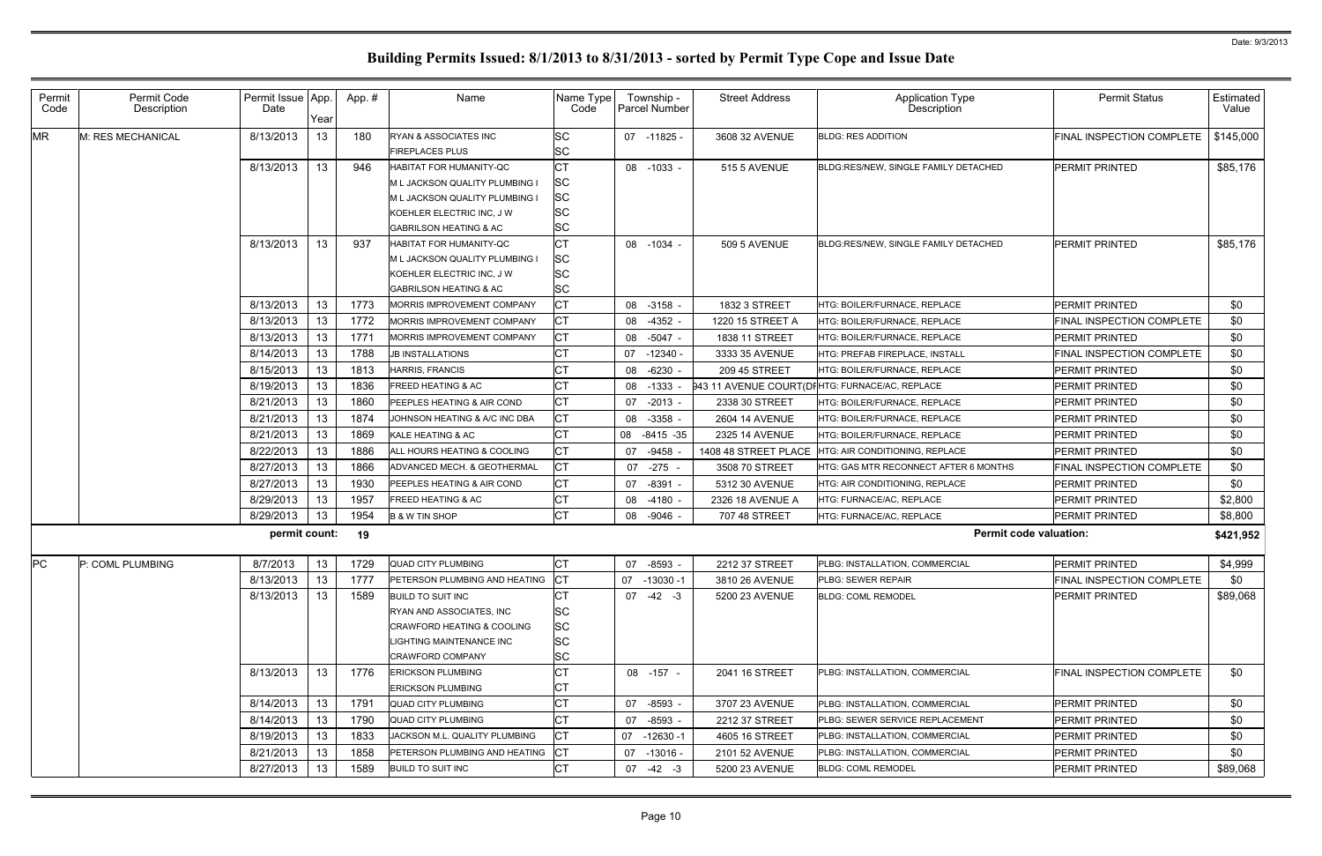| Permit<br>Code | Permit Code<br>Description | Permit Issue App.<br>Date | Year | App.# | Name                                                                                                                                                          | Name Type<br>Code                                      | Township -<br>Parcel Number | <b>Street Address</b> | <b>Application Type</b><br><b>Description</b>  | <b>Permit Status</b>             | Estimated<br>Value |
|----------------|----------------------------|---------------------------|------|-------|---------------------------------------------------------------------------------------------------------------------------------------------------------------|--------------------------------------------------------|-----------------------------|-----------------------|------------------------------------------------|----------------------------------|--------------------|
| <b>MR</b>      | M: RES MECHANICAL          | 8/13/2013                 | 13   | 180   | RYAN & ASSOCIATES INC<br><b>FIREPLACES PLUS</b>                                                                                                               | <b>SC</b><br>SC                                        | 07 -11825 -                 | 3608 32 AVENUE        | <b>BLDG: RES ADDITION</b>                      | FINAL INSPECTION COMPLETE        | \$145,000          |
|                |                            | 8/13/2013                 | 13   | 946   | HABITAT FOR HUMANITY-QC<br>M L JACKSON QUALITY PLUMBING I<br>M L JACKSON QUALITY PLUMBING I<br>KOEHLER ELECTRIC INC, J W<br><b>GABRILSON HEATING &amp; AC</b> | СT<br><b>SC</b><br><b>SC</b><br><b>SC</b><br><b>SC</b> | 08 -1033 -                  | <b>515 5 AVENUE</b>   | BLDG:RES/NEW, SINGLE FAMILY DETACHED           | PERMIT PRINTED                   | \$85,176           |
|                |                            | 8/13/2013                 | 13   | 937   | HABITAT FOR HUMANITY-QC<br>M L JACKSON QUALITY PLUMBING I<br>KOEHLER ELECTRIC INC, J W<br>GABRILSON HEATING & AC                                              | <b>CT</b><br><b>SC</b><br><b>SC</b><br><b>SC</b>       | 08 -1034                    | <b>509 5 AVENUE</b>   | BLDG:RES/NEW, SINGLE FAMILY DETACHED           | <b>PERMIT PRINTED</b>            | \$85,176           |
|                |                            | 8/13/2013                 | 13   | 1773  | MORRIS IMPROVEMENT COMPANY                                                                                                                                    | СT                                                     | 08 -3158 -                  | 1832 3 STREET         | HTG: BOILER/FURNACE, REPLACE                   | <b>PERMIT PRINTED</b>            | \$0                |
|                |                            | 8/13/2013                 | 13   | 1772  | MORRIS IMPROVEMENT COMPANY                                                                                                                                    | СT                                                     | 08 -4352 -                  | 1220 15 STREET A      | HTG: BOILER/FURNACE, REPLACE                   | <b>FINAL INSPECTION COMPLETE</b> | \$0                |
|                |                            | 8/13/2013                 | 13   | 1771  | MORRIS IMPROVEMENT COMPANY                                                                                                                                    | СT                                                     | -5047 -<br>08               | 1838 11 STREET        | HTG: BOILER/FURNACE. REPLACE                   | <b>PERMIT PRINTED</b>            | \$0                |
|                |                            | 8/14/2013                 | 13   | 1788  | <b>JB INSTALLATIONS</b>                                                                                                                                       | СT                                                     | 07<br>$-12340 -$            | 3333 35 AVENUE        | HTG: PREFAB FIREPLACE, INSTALL                 | FINAL INSPECTION COMPLETE        | \$0                |
|                |                            | 8/15/2013                 | 13   | 1813  | HARRIS, FRANCIS                                                                                                                                               | СT                                                     | $-6230 -$<br>08             | 209 45 STREET         | HTG: BOILER/FURNACE. REPLACE                   | <b>PERMIT PRINTED</b>            | \$0                |
|                |                            | 8/19/2013                 | 13   | 1836  | FREED HEATING & AC                                                                                                                                            | СT                                                     | 08<br>$-1333$               |                       | 343 11 AVENUE COURT(DIHTG: FURNACE/AC, REPLACE | <b>PERMIT PRINTED</b>            | \$0                |
|                |                            | 8/21/2013                 | 13   | 1860  | PEEPLES HEATING & AIR COND                                                                                                                                    | СT                                                     | $-2013 -$<br>07             | 2338 30 STREET        | HTG: BOILER/FURNACE, REPLACE                   | PERMIT PRINTED                   | \$0                |
|                |                            | 8/21/2013                 | 13   | 1874  | JOHNSON HEATING & A/C INC DBA                                                                                                                                 | СT                                                     | 08<br>$-3358$ -             | 2604 14 AVENUE        | HTG: BOILER/FURNACE, REPLACE                   | <b>PERMIT PRINTED</b>            | \$0                |
|                |                            | 8/21/2013                 | 13   | 1869  | KALE HEATING & AC                                                                                                                                             | СT                                                     | $-8415 - 35$<br>08          | 2325 14 AVENUE        | HTG: BOILER/FURNACE, REPLACE                   | <b>PERMIT PRINTED</b>            | \$0                |
|                |                            | 8/22/2013                 | 13   | 1886  | ALL HOURS HEATING & COOLING                                                                                                                                   | СT                                                     | $-9458$<br>07               | 1408 48 STREET PLACE  | HTG: AIR CONDITIONING, REPLACE                 | <b>PERMIT PRINTED</b>            | \$0                |
|                |                            | 8/27/2013                 | 13   | 1866  | ADVANCED MECH. & GEOTHERMAL                                                                                                                                   | СT                                                     | -275<br>07                  | 3508 70 STREET        | HTG: GAS MTR RECONNECT AFTER 6 MONTHS          | FINAL INSPECTION COMPLETE        | \$0                |
|                |                            | 8/27/2013                 | 13   | 1930  | PEEPLES HEATING & AIR COND                                                                                                                                    | <b>CT</b>                                              | 07<br>-8391                 | 5312 30 AVENUE        | HTG: AIR CONDITIONING, REPLACE                 | <b>PERMIT PRINTED</b>            | \$0                |
|                |                            | 8/29/2013                 | 13   | 1957  | <b>FREED HEATING &amp; AC</b>                                                                                                                                 | СT                                                     | 08<br>$-4180$               | 2326 18 AVENUE A      | HTG: FURNACE/AC, REPLACE                       | <b>PERMIT PRINTED</b>            | \$2,800            |
|                |                            | 8/29/2013                 | 13   | 1954  | <b>B &amp; W TIN SHOP</b>                                                                                                                                     | СT                                                     | -9046 -<br>08               | 707 48 STREET         | HTG: FURNACE/AC, REPLACE                       | <b>PERMIT PRINTED</b>            | \$8,800            |
|                |                            | permit count:             |      | 19    |                                                                                                                                                               |                                                        |                             |                       | <b>Permit code valuation:</b>                  |                                  | \$421,952          |
| PC             | P: COML PLUMBING           | 8/7/2013                  | 13   | 1729  | <b>QUAD CITY PLUMBING</b>                                                                                                                                     | СT                                                     | 07 -8593 -                  | 2212 37 STREET        | PLBG: INSTALLATION, COMMERCIAL                 | <b>PERMIT PRINTED</b>            | \$4,999            |
|                |                            | 8/13/2013                 | 13   | 1777  | <b>PETERSON PLUMBING AND HEATING</b>                                                                                                                          | <b>CT</b>                                              | 07 -13030 -1                | 3810 26 AVENUE        | <b>PLBG: SEWER REPAIR</b>                      | <b>FINAL INSPECTION COMPLETE</b> | \$0                |
|                |                            | 8/13/2013                 | 13   | 1589  | <b>BUILD TO SUIT INC</b><br><b>RYAN AND ASSOCIATES. INC</b><br>CRAWFORD HEATING & COOLING<br>IGHTING MAINTENANCE INC.<br>CRAWFORD COMPANY                     | СT<br>SC<br><b>SC</b><br><b>SC</b><br><b>SC</b>        | $07 -42 -3$                 | 5200 23 AVENUE        | <b>BLDG: COML REMODEL</b>                      | <b>PERMIT PRINTED</b>            | \$89,068           |
|                |                            | 8/13/2013                 | 13   | 1776  | <b>ERICKSON PLUMBING</b><br><b>ERICKSON PLUMBING</b>                                                                                                          | СT<br>СΤ                                               | 08 -157 -                   | 2041 16 STREET        | PLBG: INSTALLATION, COMMERCIAL                 | FINAL INSPECTION COMPLETE        | \$0                |
|                |                            | 8/14/2013                 | 13   | 1791  | <b>QUAD CITY PLUMBING</b>                                                                                                                                     | СT                                                     | 07 -8593 -                  | 3707 23 AVENUE        | PLBG: INSTALLATION, COMMERCIAL                 | <b>PERMIT PRINTED</b>            | \$0                |
|                |                            | 8/14/2013                 | 13   | 1790  | <b>QUAD CITY PLUMBING</b>                                                                                                                                     | СT                                                     | $-8593 -$<br>07             | 2212 37 STREET        | <b>PLBG: SEWER SERVICE REPLACEMENT</b>         | PERMIT PRINTED                   | \$0                |
|                |                            | 8/19/2013                 | 13   | 1833  | JACKSON M.L. QUALITY PLUMBING                                                                                                                                 | СT                                                     | 07 -12630 -1                | 4605 16 STREET        | PLBG: INSTALLATION, COMMERCIAL                 | PERMIT PRINTED                   | \$0                |
|                |                            | 8/21/2013                 | 13   | 1858  | PETERSON PLUMBING AND HEATING                                                                                                                                 | <b>CT</b>                                              | 07 -13016 -                 | 2101 52 AVENUE        | PLBG: INSTALLATION, COMMERCIAL                 | PERMIT PRINTED                   | \$0                |
|                |                            | 8/27/2013                 | 13   | 1589  | <b>BUILD TO SUIT INC</b>                                                                                                                                      | СT                                                     | 07<br>$-42 - 3$             | 5200 23 AVENUE        | <b>BLDG: COML REMODEL</b>                      | PERMIT PRINTED                   | \$89,068           |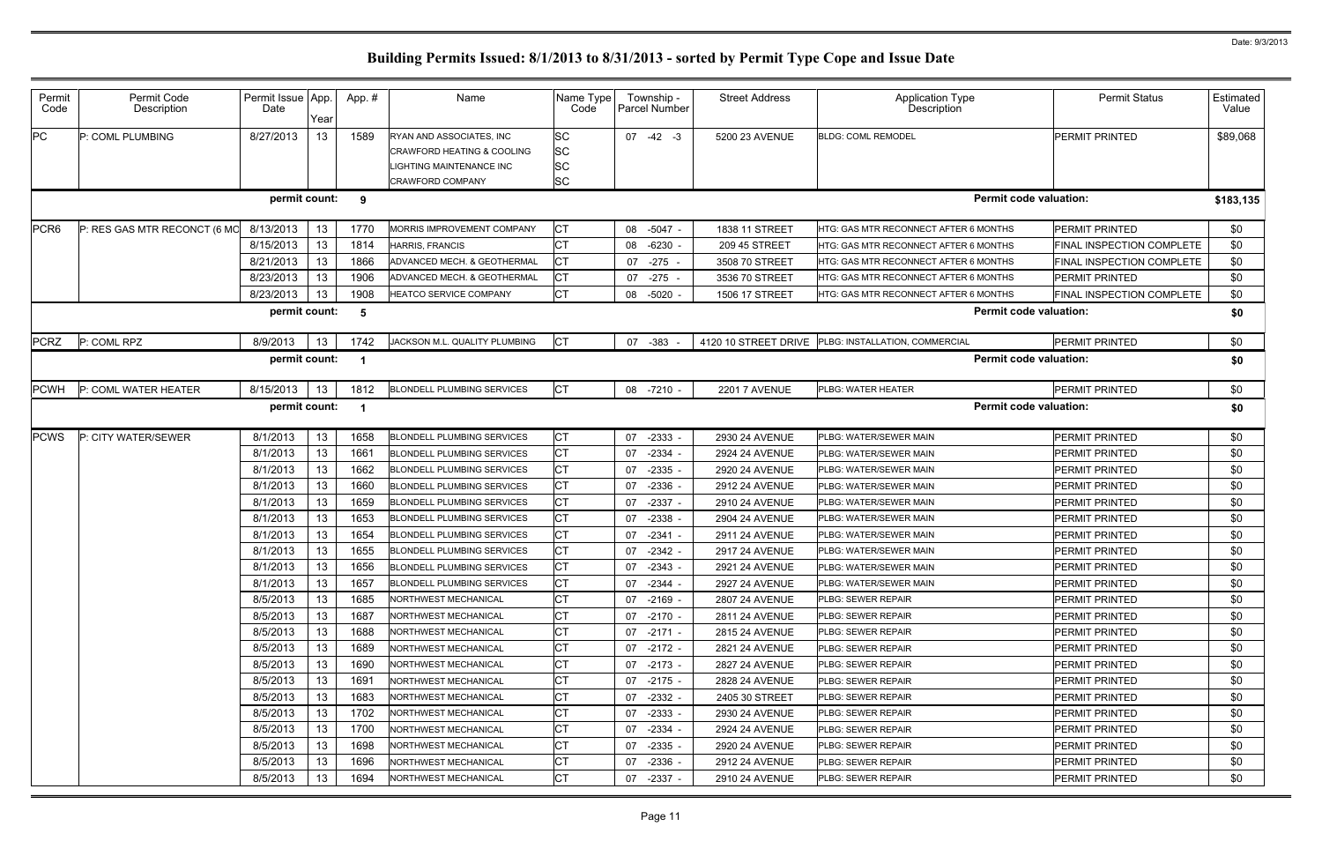| Permit<br>Code   | Permit Code<br>Description   | Permit Issue App.<br>Date | Year | App.# | Name                                                                                                                    | Name Type<br>Code           | Township -<br>Parcel Number | <b>Street Address</b> | <b>Application Type</b><br>Description              | <b>Permit Status</b>             | Estimated<br>Value |
|------------------|------------------------------|---------------------------|------|-------|-------------------------------------------------------------------------------------------------------------------------|-----------------------------|-----------------------------|-----------------------|-----------------------------------------------------|----------------------------------|--------------------|
| PC               | P: COML PLUMBING             | 8/27/2013                 | 13   | 1589  | RYAN AND ASSOCIATES, INC<br><b>CRAWFORD HEATING &amp; COOLING</b><br>IGHTING MAINTENANCE INC<br><b>CRAWFORD COMPANY</b> | SC<br>SC<br><b>SC</b><br>SC | $07 -42 -3$                 | 5200 23 AVENUE        | <b>BLDG: COML REMODEL</b>                           | PERMIT PRINTED                   | \$89,068           |
|                  |                              | permit count:             |      | -9    |                                                                                                                         |                             |                             |                       | <b>Permit code valuation:</b>                       |                                  | \$183,135          |
| PCR <sub>6</sub> | P: RES GAS MTR RECONCT (6 MO | 8/13/2013                 | 13   | 1770  | MORRIS IMPROVEMENT COMPANY                                                                                              | <b>CT</b>                   | 08 -5047 -                  | 1838 11 STREET        | HTG: GAS MTR RECONNECT AFTER 6 MONTHS               | PERMIT PRINTED                   | \$0                |
|                  |                              | 8/15/2013                 | 13   | 1814  | HARRIS, FRANCIS                                                                                                         | СT                          | -6230<br>08                 | 209 45 STREET         | <b>HTG: GAS MTR RECONNECT AFTER 6 MONTHS</b>        | FINAL INSPECTION COMPLETE        | \$0                |
|                  |                              | 8/21/2013                 | 13   | 1866  | ADVANCED MECH. & GEOTHERMAL                                                                                             | СT                          | $-275 -$<br>07              | 3508 70 STREET        | <b>HTG: GAS MTR RECONNECT AFTER 6 MONTHS</b>        | <b>FINAL INSPECTION COMPLETE</b> | \$0                |
|                  |                              | 8/23/2013                 | 13   | 1906  | ADVANCED MECH. & GEOTHERMAL                                                                                             | СT                          | 07 -275                     | 3536 70 STREET        | HTG: GAS MTR RECONNECT AFTER 6 MONTHS               | PERMIT PRINTED                   | \$0                |
|                  |                              | 8/23/2013                 | 13   | 1908  | HEATCO SERVICE COMPANY                                                                                                  | <b>CT</b>                   | 08 -5020                    | 1506 17 STREET        | HTG: GAS MTR RECONNECT AFTER 6 MONTHS               | FINAL INSPECTION COMPLETE        | \$0                |
|                  |                              | permit count:             |      | -5    |                                                                                                                         |                             |                             |                       | <b>Permit code valuation:</b>                       |                                  | \$0                |
| <b>PCRZ</b>      | P: COML RPZ                  | 8/9/2013                  | 13   | 1742  | JACKSON M.L. QUALITY PLUMBING                                                                                           | <b>CT</b>                   | 07 -383                     |                       | 4120 10 STREET DRIVE PLBG: INSTALLATION, COMMERCIAL | PERMIT PRINTED                   | \$0                |
|                  |                              | permit count:             |      |       |                                                                                                                         |                             |                             |                       | <b>Permit code valuation:</b>                       |                                  | \$0                |
| <b>PCWH</b>      | P: COML WATER HEATER         | 8/15/2013                 | 13   | 1812  | <b>BLONDELL PLUMBING SERVICES</b>                                                                                       | <b>CT</b>                   | 08 -7210                    | <b>2201 7 AVENUE</b>  | PLBG: WATER HEATER                                  | PERMIT PRINTED                   | \$0                |
|                  |                              | permit count:             |      | - 1   |                                                                                                                         |                             |                             |                       | <b>Permit code valuation:</b>                       |                                  | \$0                |
| <b>PCWS</b>      | P: CITY WATER/SEWER          | 8/1/2013                  | 13   | 1658  | <b>BLONDELL PLUMBING SERVICES</b>                                                                                       | СT                          | 07<br>$-2333$               | 2930 24 AVENUE        | PLBG: WATER/SEWER MAIN                              | PERMIT PRINTED                   | \$0                |
|                  |                              | 8/1/2013                  | 13   | 1661  | <b>BLONDELL PLUMBING SERVICES</b>                                                                                       | <b>CT</b>                   | $-2334$<br>07               | 2924 24 AVENUE        | PLBG: WATER/SEWER MAIN                              | PERMIT PRINTED                   | \$0                |
|                  |                              | 8/1/2013                  | 13   | 1662  | <b>BLONDELL PLUMBING SERVICES</b>                                                                                       | СT                          | -2335<br>07                 | 2920 24 AVENUE        | PLBG: WATER/SEWER MAIN                              | PERMIT PRINTED                   | \$0                |
|                  |                              | 8/1/2013                  | 13   | 1660  | <b>BLONDELL PLUMBING SERVICES</b>                                                                                       | <b>CT</b>                   | -2336<br>07                 | 2912 24 AVENUE        | PLBG: WATER/SEWER MAIN                              | PERMIT PRINTED                   | \$0                |
|                  |                              | 8/1/2013                  | 13   | 1659  | <b>BLONDELL PLUMBING SERVICES</b>                                                                                       | СT                          | 07<br>$-2337$               | 2910 24 AVENUE        | PLBG: WATER/SEWER MAIN                              | PERMIT PRINTED                   | \$0                |
|                  |                              | 8/1/2013                  | 13   | 1653  | <b>BLONDELL PLUMBING SERVICES</b>                                                                                       | <b>CT</b>                   | $-2338$<br>07               | 2904 24 AVENUE        | <b>PLBG: WATER/SEWER MAIN</b>                       | PERMIT PRINTED                   | \$0                |
|                  |                              | 8/1/2013                  | 13   | 1654  | <b>BLONDELL PLUMBING SERVICES</b>                                                                                       | СT                          | $-2341$<br>07               | 2911 24 AVENUE        | PLBG: WATER/SEWER MAIN                              | PERMIT PRINTED                   | \$0                |
|                  |                              | 8/1/2013                  | 13   | 1655  | <b>BLONDELL PLUMBING SERVICES</b>                                                                                       | <b>CT</b>                   | 07<br>$-2342$               | 2917 24 AVENUE        | PLBG: WATER/SEWER MAIN                              | PERMIT PRINTED                   | \$0                |
|                  |                              | 8/1/2013                  | 13   | 1656  | <b>BLONDELL PLUMBING SERVICES</b>                                                                                       | <b>CT</b>                   | 07 -2343 -                  | <b>2921 24 AVENUE</b> | PLBG: WATER/SEWER MAIN                              | <b>PERMIT PRINTED</b>            | \$0                |
|                  |                              | 8/1/2013                  | 13   | 1657  | <b>BLONDELL PLUMBING SERVICES</b>                                                                                       | СT                          | 07 -2344 -                  | <b>2927 24 AVENUE</b> | <b>PLBG: WATER/SEWER MAIN</b>                       | <b>PERMIT PRINTED</b>            | \$0                |
|                  |                              | 8/5/2013                  | 13   | 1685  | <b>NORTHWEST MECHANICAL</b>                                                                                             | <b>CT</b>                   | 07 -2169 -                  | 2807 24 AVENUE        | <b>PLBG: SEWER REPAIR</b>                           | <b>PERMIT PRINTED</b>            | \$0                |
|                  |                              | 8/5/2013                  | 13   | 1687  | <b>NORTHWEST MECHANICAL</b>                                                                                             | <b>CT</b>                   | 07 -2170 -                  | 2811 24 AVENUE        | <b>PLBG: SEWER REPAIR</b>                           | PERMIT PRINTED                   | \$0                |
|                  |                              | 8/5/2013                  | 13   | 1688  | <b>NORTHWEST MECHANICAL</b>                                                                                             | СT                          | 07 -2171 -                  | 2815 24 AVENUE        | <b>PLBG: SEWER REPAIR</b>                           | PERMIT PRINTED                   | \$0                |
|                  |                              | 8/5/2013                  | 13   | 1689  | <b>NORTHWEST MECHANICAL</b>                                                                                             | СT                          | 07 -2172 -                  | 2821 24 AVENUE        | <b>PLBG: SEWER REPAIR</b>                           | <b>PERMIT PRINTED</b>            | \$0                |
|                  |                              | 8/5/2013                  | 13   | 1690  | <b>NORTHWEST MECHANICAL</b>                                                                                             | <b>CT</b>                   | 07 -2173 -                  | 2827 24 AVENUE        | <b>PLBG: SEWER REPAIR</b>                           | PERMIT PRINTED                   | \$0                |
|                  |                              | 8/5/2013                  | 13   | 1691  | <b>NORTHWEST MECHANICAL</b>                                                                                             | СT                          | 07 -2175 -                  | 2828 24 AVENUE        | <b>PLBG: SEWER REPAIR</b>                           | <b>PERMIT PRINTED</b>            | \$0                |
|                  |                              | 8/5/2013                  | 13   | 1683  | <b>NORTHWEST MECHANICAL</b>                                                                                             | СT                          | 07 -2332 -                  | 2405 30 STREET        | <b>PLBG: SEWER REPAIR</b>                           | PERMIT PRINTED                   | \$0                |
|                  |                              | 8/5/2013                  | 13   | 1702  | <b>NORTHWEST MECHANICAL</b>                                                                                             | <b>CT</b>                   | $-2333 -$<br>07             | 2930 24 AVENUE        | <b>PLBG: SEWER REPAIR</b>                           | PERMIT PRINTED                   | \$0                |
|                  |                              | 8/5/2013                  | 13   | 1700  | <b>NORTHWEST MECHANICAL</b>                                                                                             | <b>CT</b>                   | 07 -2334                    | 2924 24 AVENUE        | <b>IPLBG: SEWER REPAIR</b>                          | PERMIT PRINTED                   | \$0                |
|                  |                              | 8/5/2013                  | 13   | 1698  | <b>NORTHWEST MECHANICAL</b>                                                                                             | <b>CT</b>                   | $-2335 -$<br>07             | 2920 24 AVENUE        | <b>PLBG: SEWER REPAIR</b>                           | PERMIT PRINTED                   | \$0                |
|                  |                              | 8/5/2013                  | 13   | 1696  | NORTHWEST MECHANICAL                                                                                                    | <b>CT</b>                   | $-2336$<br>07               | <b>2912 24 AVENUE</b> | <b>PLBG: SEWER REPAIR</b>                           | PERMIT PRINTED                   | \$0                |
|                  |                              | 8/5/2013                  | 13   | 1694  | NORTHWEST MECHANICAL                                                                                                    | <b>CT</b>                   | 07<br>-2337 -               | 2910 24 AVENUE        | <b>PLBG: SEWER REPAIR</b>                           | <b>PERMIT PRINTED</b>            | \$0                |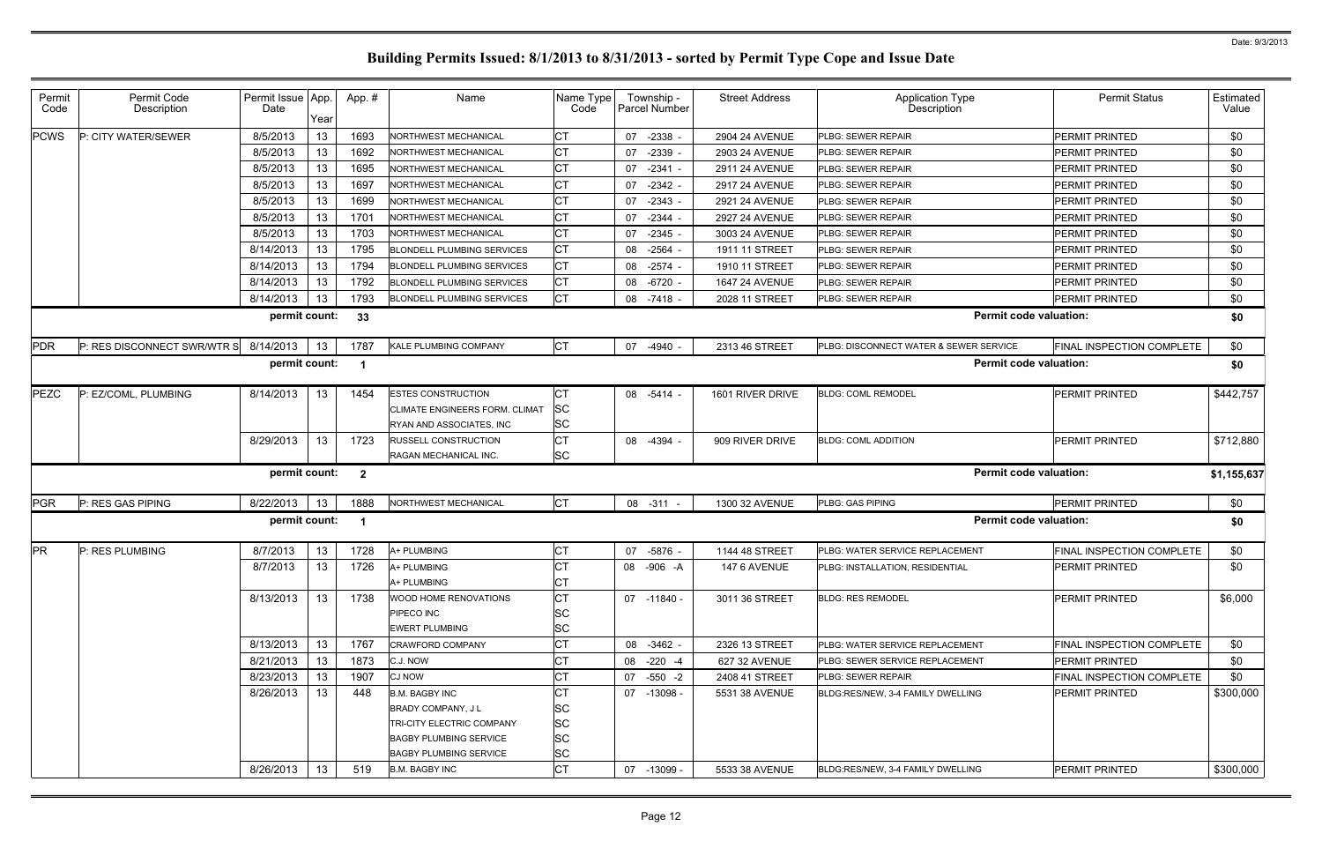| Permit<br>Code | Permit Code<br>Description  | Permit Issue App.<br>Date | Year | App.#        | Name                              | Name Type<br>Code | Township -<br>Parcel Number | <b>Street Address</b> | <b>Application Type</b><br><b>Description</b> | <b>Permit Status</b>             | Estimated<br>Value |
|----------------|-----------------------------|---------------------------|------|--------------|-----------------------------------|-------------------|-----------------------------|-----------------------|-----------------------------------------------|----------------------------------|--------------------|
| <b>PCWS</b>    | P: CITY WATER/SEWER         | 8/5/2013                  | 13   | 1693         | NORTHWEST MECHANICAL              | СT                | 07<br>$-2338 -$             | 2904 24 AVENUE        | PLBG: SEWER REPAIR                            | <b>PERMIT PRINTED</b>            | \$0                |
|                |                             | 8/5/2013                  | 13   | 1692         | NORTHWEST MECHANICAL              | СT                | 07<br>$-2339 -$             | 2903 24 AVENUE        | PLBG: SEWER REPAIR                            | <b>PERMIT PRINTED</b>            | \$0                |
|                |                             | 8/5/2013                  | 13   | 1695         | NORTHWEST MECHANICAL              | <b>CT</b>         | 07<br>$-2341 -$             | 2911 24 AVENUE        | PLBG: SEWER REPAIR                            | <b>PERMIT PRINTED</b>            | \$0                |
|                |                             | 8/5/2013                  | 13   | 1697         | NORTHWEST MECHANICAL              | СT                | 07<br>$-2342 -$             | <b>2917 24 AVENUE</b> | PLBG: SEWER REPAIR                            | <b>PERMIT PRINTED</b>            | \$0                |
|                |                             | 8/5/2013                  | 13   | 1699         | NORTHWEST MECHANICAL              | СT                | 07<br>$-2343 -$             | 2921 24 AVENUE        | PLBG: SEWER REPAIR                            | <b>PERMIT PRINTED</b>            | \$0                |
|                |                             | 8/5/2013                  | 13   | 1701         | <b>NORTHWEST MECHANICAL</b>       | СT                | $-2344$<br>07               | 2927 24 AVENUE        | PLBG: SEWER REPAIR                            | <b>PERMIT PRINTED</b>            | \$0                |
|                |                             | 8/5/2013                  | 13   | 1703         | NORTHWEST MECHANICAL              | СT                | $-2345 -$<br>07             | 3003 24 AVENUE        | PLBG: SEWER REPAIR                            | <b>PERMIT PRINTED</b>            | \$0                |
|                |                             | 8/14/2013                 | 13   | 1795         | <b>BLONDELL PLUMBING SERVICES</b> | <b>CT</b>         | 08<br>$-2564$               | 1911 11 STREET        | PLBG: SEWER REPAIR                            | <b>PERMIT PRINTED</b>            | \$0                |
|                |                             | 8/14/2013                 | 13   | 1794         | <b>BLONDELL PLUMBING SERVICES</b> | IСТ               | 08<br>$-2574$               | 1910 11 STREET        | PLBG: SEWER REPAIR                            | <b>PERMIT PRINTED</b>            | \$0                |
|                |                             | 8/14/2013                 | 13   | 1792         | <b>BLONDELL PLUMBING SERVICES</b> | <b>CT</b>         | 08<br>-6720                 | 1647 24 AVENUE        | PLBG: SEWER REPAIR                            | <b>PERMIT PRINTED</b>            | \$0                |
|                |                             | 8/14/2013                 | 13   | 1793         | <b>BLONDELL PLUMBING SERVICES</b> | <b>CT</b>         | -7418 -<br>08               | 2028 11 STREET        | PLBG: SEWER REPAIR                            | <b>PERMIT PRINTED</b>            | \$0                |
|                |                             | permit count:             |      | 33           |                                   |                   |                             |                       | <b>Permit code valuation:</b>                 |                                  | \$0                |
| <b>PDR</b>     | P: RES DISCONNECT SWR/WTR S | 8/14/2013                 | 13   | 1787         | KALE PLUMBING COMPANY             | <b>CT</b>         | 07<br>-4940 -               | 2313 46 STREET        | PLBG: DISCONNECT WATER & SEWER SERVICE        | <b>FINAL INSPECTION COMPLETE</b> | \$0                |
|                |                             | permit count:             |      |              |                                   |                   |                             |                       | <b>Permit code valuation:</b>                 |                                  | \$0                |
| <b>PEZC</b>    | P: EZ/COML, PLUMBING        | 8/14/2013                 | 13   | 1454         | <b>ESTES CONSTRUCTION</b>         | СT                | 08<br>-5414                 | 1601 RIVER DRIVE      | <b>BLDG: COML REMODEL</b>                     | <b>PERMIT PRINTED</b>            | \$442,757          |
|                |                             |                           |      |              | CLIMATE ENGINEERS FORM. CLIMAT    | <b>SC</b>         |                             |                       |                                               |                                  |                    |
|                |                             |                           |      |              | RYAN AND ASSOCIATES, INC          | <b>SC</b>         |                             |                       |                                               |                                  |                    |
|                |                             | 8/29/2013                 | 13   | 1723         | <b>RUSSELL CONSTRUCTION</b>       | <b>CT</b>         | 08<br>-4394                 | 909 RIVER DRIVE       | <b>BLDG: COML ADDITION</b>                    | PERMIT PRINTED                   | \$712,880          |
|                |                             |                           |      |              | RAGAN MECHANICAL INC.             | <b>SC</b>         |                             |                       |                                               |                                  |                    |
|                |                             | permit count:             |      | $\mathbf{2}$ |                                   |                   |                             |                       | <b>Permit code valuation:</b>                 |                                  | \$1,155,637        |
| <b>PGR</b>     | P: RES GAS PIPING           | 8/22/2013                 | 13   | 1888         | NORTHWEST MECHANICAL              | <b>CT</b>         | 08 -311 -                   | 1300 32 AVENUE        | PLBG: GAS PIPING                              | <b>PERMIT PRINTED</b>            | \$0                |
|                |                             | permit count:             |      |              |                                   |                   |                             |                       | <b>Permit code valuation:</b>                 |                                  | \$0                |
| <b>PR</b>      | P: RES PLUMBING             | 8/7/2013                  | 13   | 1728         | A+ PLUMBING                       | СT                | 07<br>-5876 -               | 1144 48 STREET        | PLBG: WATER SERVICE REPLACEMENT               | FINAL INSPECTION COMPLETE        | \$0                |
|                |                             | 8/7/2013                  | 13   | 1726         | A+ PLUMBING<br>A+ PLUMBING        | Iст.<br><b>CT</b> | 08 -906 -A                  | 147 6 AVENUE          | PLBG: INSTALLATION, RESIDENTIAL               | PERMIT PRINTED                   | \$0                |
|                |                             | 8/13/2013                 | 13   | 1738         | WOOD HOME RENOVATIONS             | <b>CT</b>         | 07 -11840 -                 | 3011 36 STREET        | <b>BLDG: RES REMODEL</b>                      | <b>PERMIT PRINTED</b>            | \$6,000            |
|                |                             |                           |      |              | PIPECO INC                        | <b>SC</b>         |                             |                       |                                               |                                  |                    |
|                |                             |                           |      |              | <b>EWERT PLUMBING</b>             | <b>SC</b>         |                             |                       |                                               |                                  |                    |
|                |                             | 8/13/2013                 | 13   | 1767         | CRAWFORD COMPANY                  | <b>CT</b>         | 08 -3462 -                  | 2326 13 STREET        | PLBG: WATER SERVICE REPLACEMENT               | FINAL INSPECTION COMPLETE        | \$0                |
|                |                             | 8/21/2013                 | 13   | 1873         | C.J. NOW                          | <b>CT</b>         | 08 -220 -4                  | 627 32 AVENUE         | PLBG: SEWER SERVICE REPLACEMENT               | <b>PERMIT PRINTED</b>            | \$0                |
|                |                             | 8/23/2013                 | 13   | 1907         | <b>CJ NOW</b>                     | СT                | 07 -550 -2                  | 2408 41 STREET        | PLBG: SEWER REPAIR                            | FINAL INSPECTION COMPLETE        | \$0                |
|                |                             | 8/26/2013                 | 13   | 448          | <b>B.M. BAGBY INC</b>             | СT                | 07 -13098 -                 | 5531 38 AVENUE        | BLDG:RES/NEW, 3-4 FAMILY DWELLING             | <b>PERMIT PRINTED</b>            | \$300,000          |
|                |                             |                           |      |              | BRADY COMPANY, JL                 | <b>SC</b>         |                             |                       |                                               |                                  |                    |
|                |                             |                           |      |              | TRI-CITY ELECTRIC COMPANY         | <b>SC</b>         |                             |                       |                                               |                                  |                    |
|                |                             |                           |      |              | <b>BAGBY PLUMBING SERVICE</b>     | <b>SC</b>         |                             |                       |                                               |                                  |                    |
|                |                             |                           |      |              | <b>BAGBY PLUMBING SERVICE</b>     | <b>SC</b>         |                             |                       |                                               |                                  |                    |
|                |                             | 8/26/2013                 | 13   | 519          | <b>B.M. BAGBY INC</b>             | <b>CT</b>         | 07 -13099 -                 | 5533 38 AVENUE        | BLDG:RES/NEW, 3-4 FAMILY DWELLING             | <b>PERMIT PRINTED</b>            | \$300,000          |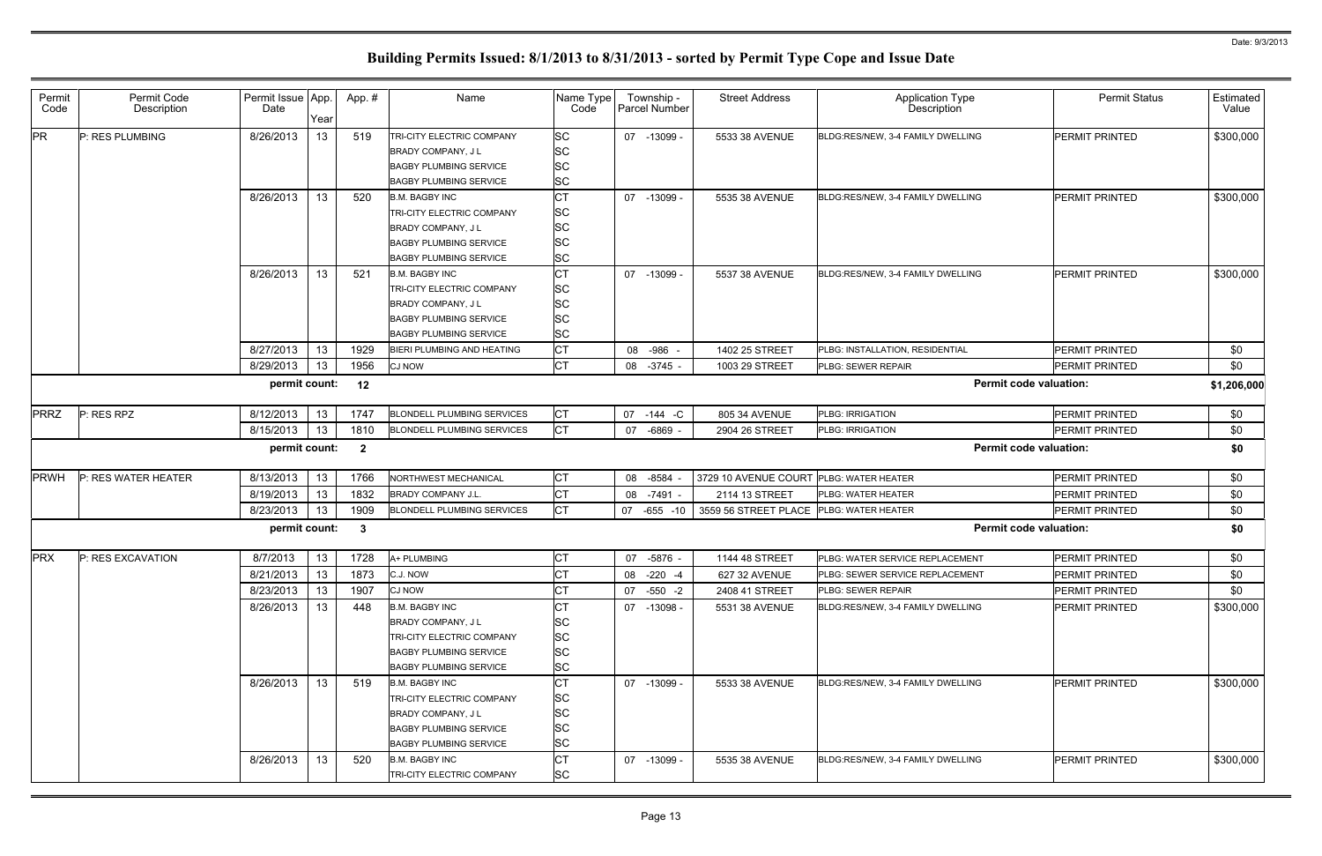| Permit<br>Code | Permit Code<br>Description | Permit Issue App.<br>Date |            | App. #       | Name                                                           | Name Type<br>Code      | Township -<br>Parcel Number | <b>Street Address</b> | <b>Application Type</b><br>Description | <b>Permit Status</b>                           | Estimated<br>Value |
|----------------|----------------------------|---------------------------|------------|--------------|----------------------------------------------------------------|------------------------|-----------------------------|-----------------------|----------------------------------------|------------------------------------------------|--------------------|
| <b>PR</b>      | P: RES PLUMBING            | 8/26/2013                 | Year<br>13 | 519          | TRI-CITY ELECTRIC COMPANY                                      | SC                     | 07 -13099 -                 | 5533 38 AVENUE        | BLDG:RES/NEW, 3-4 FAMILY DWELLING      | <b>PERMIT PRINTED</b>                          | \$300,000          |
|                |                            |                           |            |              | <b>BRADY COMPANY, JL</b>                                       | <b>SC</b>              |                             |                       |                                        |                                                |                    |
|                |                            |                           |            |              | <b>BAGBY PLUMBING SERVICE</b>                                  | <b>SC</b>              |                             |                       |                                        |                                                |                    |
|                |                            |                           |            |              | <b>BAGBY PLUMBING SERVICE</b>                                  | <b>SC</b>              |                             |                       |                                        |                                                |                    |
|                |                            | 8/26/2013                 | 13         | 520          | <b>B.M. BAGBY INC</b>                                          | <b>CT</b>              | 07 -13099 -                 | 5535 38 AVENUE        | BLDG:RES/NEW, 3-4 FAMILY DWELLING      | <b>PERMIT PRINTED</b>                          | \$300,000          |
|                |                            |                           |            |              | TRI-CITY ELECTRIC COMPANY                                      | <b>SC</b>              |                             |                       |                                        |                                                |                    |
|                |                            |                           |            |              | <b>BRADY COMPANY, JL</b>                                       | <b>SC</b>              |                             |                       |                                        |                                                |                    |
|                |                            |                           |            |              | <b>BAGBY PLUMBING SERVICE</b>                                  | <b>SC</b>              |                             |                       |                                        |                                                |                    |
|                |                            |                           |            |              | <b>BAGBY PLUMBING SERVICE</b>                                  | <b>SC</b>              |                             |                       |                                        |                                                |                    |
|                |                            | 8/26/2013                 | 13         | 521          | <b>B.M. BAGBY INC</b>                                          | <b>CT</b>              | 07 -13099 -                 | 5537 38 AVENUE        | BLDG:RES/NEW, 3-4 FAMILY DWELLING      | <b>PERMIT PRINTED</b>                          | \$300,000          |
|                |                            |                           |            |              | TRI-CITY ELECTRIC COMPANY                                      | <b>SC</b>              |                             |                       |                                        |                                                |                    |
|                |                            |                           |            |              | BRADY COMPANY, J L                                             | SC                     |                             |                       |                                        |                                                |                    |
|                |                            |                           |            |              | <b>BAGBY PLUMBING SERVICE</b><br><b>BAGBY PLUMBING SERVICE</b> | <b>SC</b>              |                             |                       |                                        |                                                |                    |
|                |                            | 8/27/2013                 |            |              | BIERI PLUMBING AND HEATING                                     | <b>SC</b><br><b>CT</b> |                             |                       | PLBG: INSTALLATION, RESIDENTIAL        |                                                |                    |
|                |                            |                           | 13         | 1929<br>1956 |                                                                | <b>CT</b>              | -986 -<br>08<br>08 -3745 -  | 1402 25 STREET        | PLBG: SEWER REPAIR                     | <b>PERMIT PRINTED</b><br><b>PERMIT PRINTED</b> | \$0                |
|                |                            | 8/29/2013                 | 13         |              | CJ NOW                                                         |                        |                             | 1003 29 STREET        |                                        |                                                | \$0                |
|                |                            | permit count:             |            | 12           |                                                                |                        |                             |                       |                                        | <b>Permit code valuation:</b>                  | \$1,206,000        |
| <b>PRRZ</b>    | P: RES RPZ                 | 8/12/2013                 | 13         | 1747         | <b>BLONDELL PLUMBING SERVICES</b>                              | СT                     | 07 -144 -C                  | 805 34 AVENUE         | PLBG: IRRIGATION                       | <b>PERMIT PRINTED</b>                          | \$0                |
|                |                            | 8/15/2013                 | 13         | 1810         | <b>BLONDELL PLUMBING SERVICES</b>                              | <b>CT</b>              | 07<br>$-6869 -$             | 2904 26 STREET        | <b>PLBG: IRRIGATION</b>                | <b>PERMIT PRINTED</b>                          | \$0                |
|                |                            | permit count:             |            | $\mathbf{2}$ |                                                                |                        |                             |                       |                                        | <b>Permit code valuation:</b>                  | \$0                |
| <b>PRWH</b>    | P: RES WATER HEATER        | 8/13/2013                 | 13         | 1766         | NORTHWEST MECHANICAL                                           | <b>CT</b>              | $-8584$<br>08               | 3729 10 AVENUE COURT  | PLBG: WATER HEATER                     | PERMIT PRINTED                                 | \$0                |
|                |                            | 8/19/2013                 | 13         | 1832         | <b>BRADY COMPANY J.L.</b>                                      | СT                     | 08<br>-7491                 | 2114 13 STREET        | <b>PLBG: WATER HEATER</b>              | <b>PERMIT PRINTED</b>                          | \$0                |
|                |                            | 8/23/2013                 | 13         | 1909         | <b>BLONDELL PLUMBING SERVICES</b>                              | СT                     | 07 -655<br>$-10$            | 3559 56 STREET PLACE  | PLBG: WATER HEATER                     | <b>PERMIT PRINTED</b>                          | \$0                |
|                |                            | permit count:             |            | $\mathbf{3}$ |                                                                |                        |                             |                       |                                        | <b>Permit code valuation:</b>                  | \$0                |
| <b>PRX</b>     | P: RES EXCAVATION          | 8/7/2013                  | 13         | 1728         | A+ PLUMBING                                                    | <b>CT</b>              | 07 -5876 -                  | 1144 48 STREET        | PLBG: WATER SERVICE REPLACEMENT        | <b>PERMIT PRINTED</b>                          | \$0                |
|                |                            | 8/21/2013                 | 13         | 1873         | C.J. NOW                                                       | <b>CT</b>              | 08 -220 -4                  | 627 32 AVENUE         | PLBG: SEWER SERVICE REPLACEMENT        | <b>PERMIT PRINTED</b>                          | \$0                |
|                |                            | 8/23/2013                 | 13         | 1907         | CJ NOW                                                         | <b>CT</b>              | 07 -550 -2                  | 2408 41 STREET        | PLBG: SEWER REPAIR                     | PERMIT PRINTED                                 | \$0                |
|                |                            | 8/26/2013                 | 13         | 448          | <b>B.M. BAGBY INC</b>                                          | <b>CT</b>              | 07 -13098 -                 | 5531 38 AVENUE        | BLDG:RES/NEW, 3-4 FAMILY DWELLING      | <b>PERMIT PRINTED</b>                          | \$300,000          |
|                |                            |                           |            |              | BRADY COMPANY, JL                                              | <b>SC</b>              |                             |                       |                                        |                                                |                    |
|                |                            |                           |            |              |                                                                |                        |                             |                       |                                        |                                                |                    |
|                |                            |                           |            |              | TRI-CITY ELECTRIC COMPANY                                      | <b>SC</b>              |                             |                       |                                        |                                                |                    |
|                |                            |                           |            |              | <b>BAGBY PLUMBING SERVICE</b>                                  | <b>SC</b>              |                             |                       |                                        |                                                |                    |
|                |                            |                           |            |              | <b>BAGBY PLUMBING SERVICE</b>                                  | <b>SC</b>              |                             |                       |                                        |                                                |                    |
|                |                            | 8/26/2013                 | 13         | 519          | <b>B.M. BAGBY INC</b>                                          | CT                     | 07 -13099 -                 | 5533 38 AVENUE        | BLDG:RES/NEW, 3-4 FAMILY DWELLING      | <b>PERMIT PRINTED</b>                          | \$300,000          |
|                |                            |                           |            |              | TRI-CITY ELECTRIC COMPANY                                      | <b>SC</b>              |                             |                       |                                        |                                                |                    |
|                |                            |                           |            |              | BRADY COMPANY, JL                                              | <b>SC</b>              |                             |                       |                                        |                                                |                    |
|                |                            |                           |            |              | <b>BAGBY PLUMBING SERVICE</b>                                  | <b>SC</b>              |                             |                       |                                        |                                                |                    |
|                |                            |                           |            |              | <b>BAGBY PLUMBING SERVICE</b>                                  | <b>SC</b>              |                             |                       |                                        |                                                |                    |
|                |                            | 8/26/2013                 | 13         | 520          | <b>B.M. BAGBY INC</b><br>TRI-CITY ELECTRIC COMPANY             | <b>CT</b><br><b>SC</b> | 07 -13099 -                 | 5535 38 AVENUE        | BLDG:RES/NEW, 3-4 FAMILY DWELLING      | PERMIT PRINTED                                 | \$300,000          |